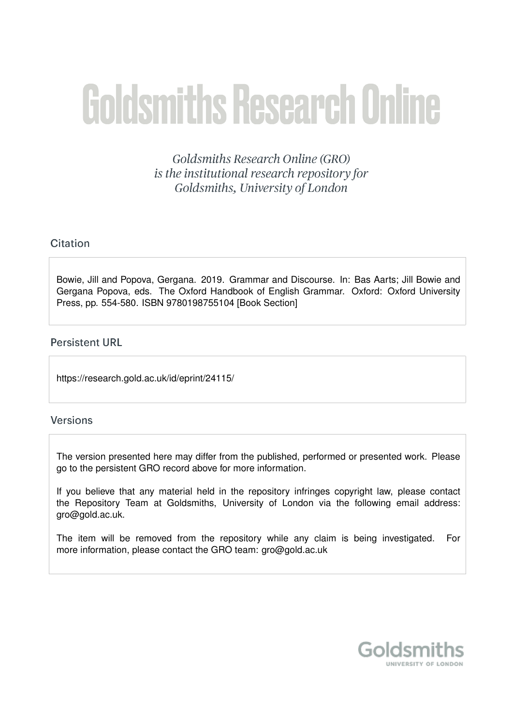# **Goldsmiths Research Online**

Goldsmiths Research Online (GRO) is the institutional research repository for Goldsmiths, University of London

# Citation

Bowie, Jill and Popova, Gergana. 2019. Grammar and Discourse. In: Bas Aarts; Jill Bowie and Gergana Popova, eds. The Oxford Handbook of English Grammar. Oxford: Oxford University Press, pp. 554-580. ISBN 9780198755104 [Book Section]

# **Persistent URL**

https://research.gold.ac.uk/id/eprint/24115/

## **Versions**

The version presented here may differ from the published, performed or presented work. Please go to the persistent GRO record above for more information.

If you believe that any material held in the repository infringes copyright law, please contact the Repository Team at Goldsmiths, University of London via the following email address: gro@gold.ac.uk.

The item will be removed from the repository while any claim is being investigated. For more information, please contact the GRO team: gro@gold.ac.uk

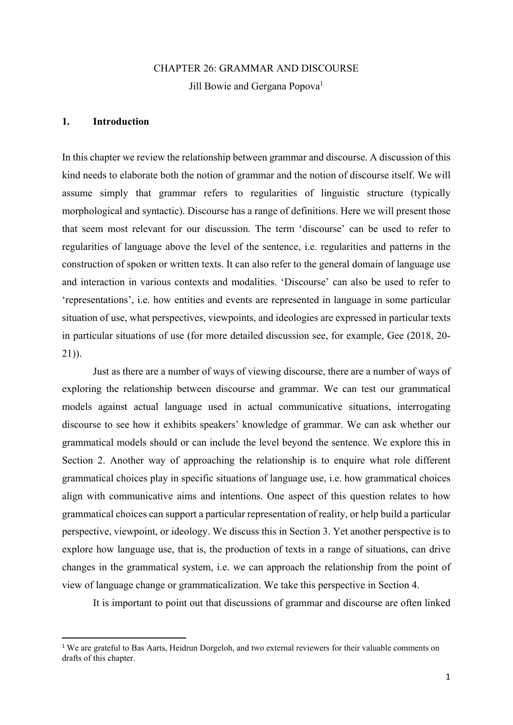#### CHAPTER 26: GRAMMAR AND DISCOURSE

Jill Bowie and Gergana Popova<sup>1</sup>

#### **1. Introduction**

In this chapter we review the relationship between grammar and discourse. A discussion of this kind needs to elaborate both the notion of grammar and the notion of discourse itself. We will assume simply that grammar refers to regularities of linguistic structure (typically morphological and syntactic). Discourse has a range of definitions. Here we will present those that seem most relevant for our discussion. The term 'discourse' can be used to refer to regularities of language above the level of the sentence, i.e. regularities and patterns in the construction of spoken or written texts. It can also refer to the general domain of language use and interaction in various contexts and modalities. 'Discourse' can also be used to refer to 'representations', i.e. how entities and events are represented in language in some particular situation of use, what perspectives, viewpoints, and ideologies are expressed in particular texts in particular situations of use (for more detailed discussion see, for example, Gee (2018, 20- 21)).

Just as there are a number of ways of viewing discourse, there are a number of ways of exploring the relationship between discourse and grammar. We can test our grammatical models against actual language used in actual communicative situations, interrogating discourse to see how it exhibits speakers' knowledge of grammar. We can ask whether our grammatical models should or can include the level beyond the sentence. We explore this in Section 2. Another way of approaching the relationship is to enquire what role different grammatical choices play in specific situations of language use, i.e. how grammatical choices align with communicative aims and intentions. One aspect of this question relates to how grammatical choices can support a particular representation of reality, or help build a particular perspective, viewpoint, or ideology. We discuss this in Section 3. Yet another perspective is to explore how language use, that is, the production of texts in a range of situations, can drive changes in the grammatical system, i.e. we can approach the relationship from the point of view of language change or grammaticalization. We take this perspective in Section 4.

It is important to point out that discussions of grammar and discourse are often linked

<sup>1</sup> We are grateful to Bas Aarts, Heidrun Dorgeloh, and two external reviewers for their valuable comments on drafts of this chapter.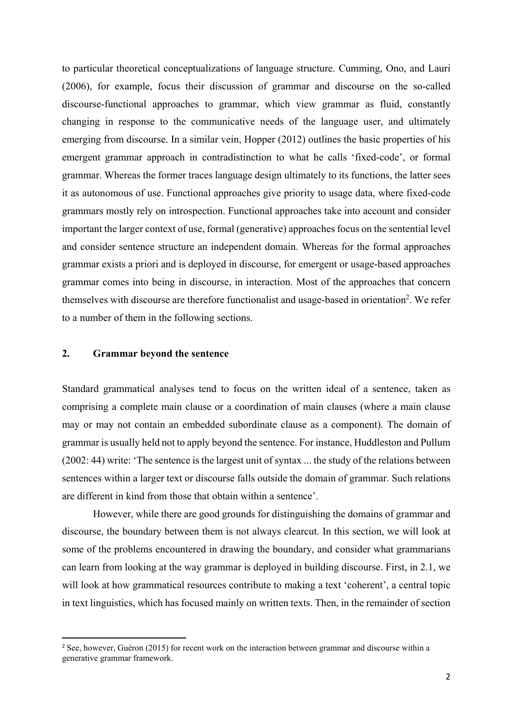to particular theoretical conceptualizations of language structure. Cumming, Ono, and Lauri (2006), for example, focus their discussion of grammar and discourse on the so-called discourse-functional approaches to grammar, which view grammar as fluid, constantly changing in response to the communicative needs of the language user, and ultimately emerging from discourse. In a similar vein, Hopper (2012) outlines the basic properties of his emergent grammar approach in contradistinction to what he calls 'fixed-code', or formal grammar. Whereas the former traces language design ultimately to its functions, the latter sees it as autonomous of use. Functional approaches give priority to usage data, where fixed-code grammars mostly rely on introspection. Functional approaches take into account and consider important the larger context of use, formal (generative) approaches focus on the sentential level and consider sentence structure an independent domain. Whereas for the formal approaches grammar exists a priori and is deployed in discourse, for emergent or usage-based approaches grammar comes into being in discourse, in interaction. Most of the approaches that concern themselves with discourse are therefore functionalist and usage-based in orientation<sup>2</sup>. We refer to a number of them in the following sections.

## **2. Grammar beyond the sentence**

Standard grammatical analyses tend to focus on the written ideal of a sentence, taken as comprising a complete main clause or a coordination of main clauses (where a main clause may or may not contain an embedded subordinate clause as a component). The domain of grammar is usually held not to apply beyond the sentence. For instance, Huddleston and Pullum (2002: 44) write: 'The sentence is the largest unit of syntax ... the study of the relations between sentences within a larger text or discourse falls outside the domain of grammar. Such relations are different in kind from those that obtain within a sentence'.

However, while there are good grounds for distinguishing the domains of grammar and discourse, the boundary between them is not always clearcut. In this section, we will look at some of the problems encountered in drawing the boundary, and consider what grammarians can learn from looking at the way grammar is deployed in building discourse. First, in 2.1, we will look at how grammatical resources contribute to making a text 'coherent', a central topic in text linguistics, which has focused mainly on written texts. Then, in the remainder of section

<sup>&</sup>lt;sup>2</sup> See, however, Guéron (2015) for recent work on the interaction between grammar and discourse within a generative grammar framework.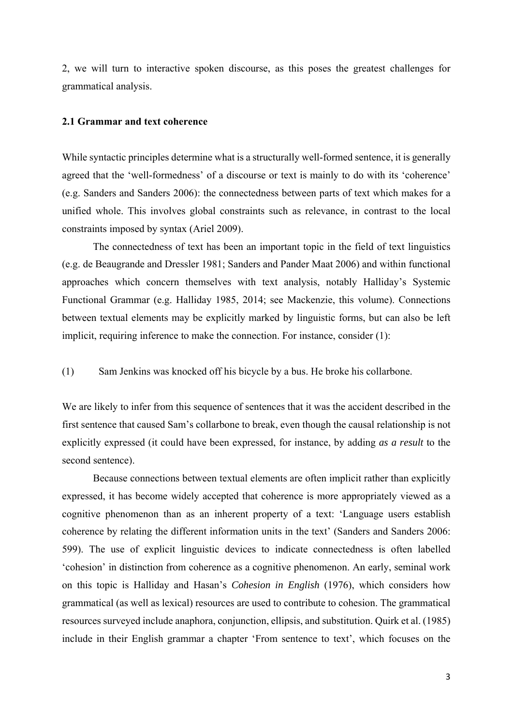2, we will turn to interactive spoken discourse, as this poses the greatest challenges for grammatical analysis.

## **2.1 Grammar and text coherence**

While syntactic principles determine what is a structurally well-formed sentence, it is generally agreed that the 'well-formedness' of a discourse or text is mainly to do with its 'coherence' (e.g. Sanders and Sanders 2006): the connectedness between parts of text which makes for a unified whole. This involves global constraints such as relevance, in contrast to the local constraints imposed by syntax (Ariel 2009).

The connectedness of text has been an important topic in the field of text linguistics (e.g. de Beaugrande and Dressler 1981; Sanders and Pander Maat 2006) and within functional approaches which concern themselves with text analysis, notably Halliday's Systemic Functional Grammar (e.g. Halliday 1985, 2014; see Mackenzie, this volume). Connections between textual elements may be explicitly marked by linguistic forms, but can also be left implicit, requiring inference to make the connection. For instance, consider (1):

(1) Sam Jenkins was knocked off his bicycle by a bus. He broke his collarbone.

We are likely to infer from this sequence of sentences that it was the accident described in the first sentence that caused Sam's collarbone to break, even though the causal relationship is not explicitly expressed (it could have been expressed, for instance, by adding *as a result* to the second sentence).

Because connections between textual elements are often implicit rather than explicitly expressed, it has become widely accepted that coherence is more appropriately viewed as a cognitive phenomenon than as an inherent property of a text: 'Language users establish coherence by relating the different information units in the text' (Sanders and Sanders 2006: 599). The use of explicit linguistic devices to indicate connectedness is often labelled 'cohesion' in distinction from coherence as a cognitive phenomenon. An early, seminal work on this topic is Halliday and Hasan's *Cohesion in English* (1976), which considers how grammatical (as well as lexical) resources are used to contribute to cohesion. The grammatical resources surveyed include anaphora, conjunction, ellipsis, and substitution. Quirk et al. (1985) include in their English grammar a chapter 'From sentence to text', which focuses on the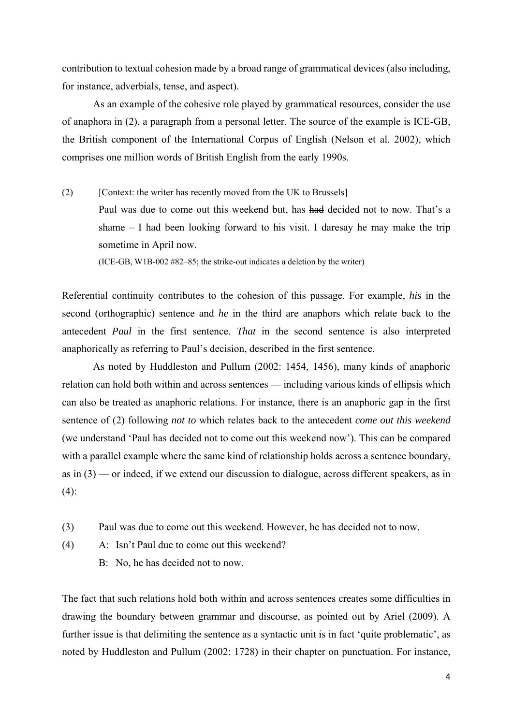contribution to textual cohesion made by a broad range of grammatical devices (also including, for instance, adverbials, tense, and aspect).

As an example of the cohesive role played by grammatical resources, consider the use of anaphora in (2), a paragraph from a personal letter. The source of the example is ICE-GB, the British component of the International Corpus of English (Nelson et al. 2002), which comprises one million words of British English from the early 1990s.

(2) [Context: the writer has recently moved from the UK to Brussels] Paul was due to come out this weekend but, has had decided not to now. That's a shame – I had been looking forward to his visit. I daresay he may make the trip sometime in April now. (ICE-GB, W1B-002 #82–85; the strike-out indicates a deletion by the writer)

Referential continuity contributes to the cohesion of this passage. For example, *his* in the second (orthographic) sentence and *he* in the third are anaphors which relate back to the antecedent *Paul* in the first sentence. *That* in the second sentence is also interpreted anaphorically as referring to Paul's decision, described in the first sentence.

As noted by Huddleston and Pullum (2002: 1454, 1456), many kinds of anaphoric relation can hold both within and across sentences — including various kinds of ellipsis which can also be treated as anaphoric relations. For instance, there is an anaphoric gap in the first sentence of (2) following *not to* which relates back to the antecedent *come out this weekend* (we understand 'Paul has decided not to come out this weekend now'). This can be compared with a parallel example where the same kind of relationship holds across a sentence boundary, as in (3) — or indeed, if we extend our discussion to dialogue, across different speakers, as in (4):

- (3) Paul was due to come out this weekend. However, he has decided not to now.
- (4) A: Isn't Paul due to come out this weekend?
	- B: No, he has decided not to now.

The fact that such relations hold both within and across sentences creates some difficulties in drawing the boundary between grammar and discourse, as pointed out by Ariel (2009). A further issue is that delimiting the sentence as a syntactic unit is in fact 'quite problematic', as noted by Huddleston and Pullum (2002: 1728) in their chapter on punctuation. For instance,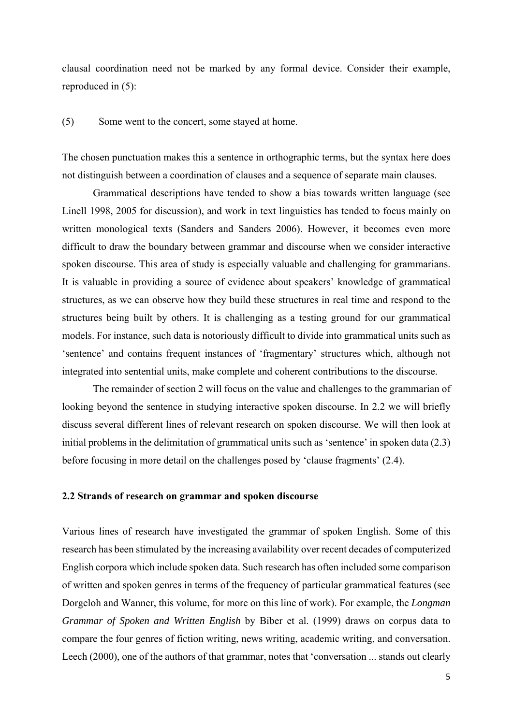clausal coordination need not be marked by any formal device. Consider their example, reproduced in (5):

(5) Some went to the concert, some stayed at home.

The chosen punctuation makes this a sentence in orthographic terms, but the syntax here does not distinguish between a coordination of clauses and a sequence of separate main clauses.

Grammatical descriptions have tended to show a bias towards written language (see Linell 1998, 2005 for discussion), and work in text linguistics has tended to focus mainly on written monological texts (Sanders and Sanders 2006). However, it becomes even more difficult to draw the boundary between grammar and discourse when we consider interactive spoken discourse. This area of study is especially valuable and challenging for grammarians. It is valuable in providing a source of evidence about speakers' knowledge of grammatical structures, as we can observe how they build these structures in real time and respond to the structures being built by others. It is challenging as a testing ground for our grammatical models. For instance, such data is notoriously difficult to divide into grammatical units such as 'sentence' and contains frequent instances of 'fragmentary' structures which, although not integrated into sentential units, make complete and coherent contributions to the discourse.

The remainder of section 2 will focus on the value and challenges to the grammarian of looking beyond the sentence in studying interactive spoken discourse. In 2.2 we will briefly discuss several different lines of relevant research on spoken discourse. We will then look at initial problems in the delimitation of grammatical units such as 'sentence' in spoken data (2.3) before focusing in more detail on the challenges posed by 'clause fragments' (2.4).

## **2.2 Strands of research on grammar and spoken discourse**

Various lines of research have investigated the grammar of spoken English. Some of this research has been stimulated by the increasing availability over recent decades of computerized English corpora which include spoken data. Such research has often included some comparison of written and spoken genres in terms of the frequency of particular grammatical features (see Dorgeloh and Wanner, this volume, for more on this line of work). For example, the *Longman Grammar of Spoken and Written English* by Biber et al. (1999) draws on corpus data to compare the four genres of fiction writing, news writing, academic writing, and conversation. Leech (2000), one of the authors of that grammar, notes that 'conversation ... stands out clearly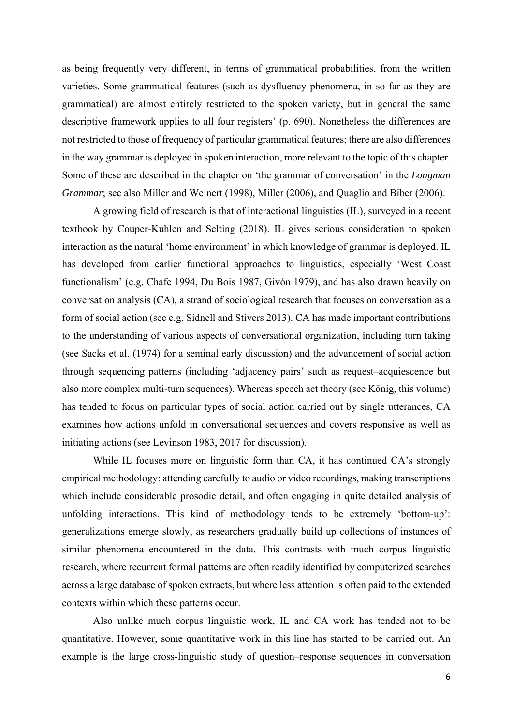as being frequently very different, in terms of grammatical probabilities, from the written varieties. Some grammatical features (such as dysfluency phenomena, in so far as they are grammatical) are almost entirely restricted to the spoken variety, but in general the same descriptive framework applies to all four registers' (p. 690). Nonetheless the differences are not restricted to those of frequency of particular grammatical features; there are also differences in the way grammar is deployed in spoken interaction, more relevant to the topic of this chapter. Some of these are described in the chapter on 'the grammar of conversation' in the *Longman Grammar*; see also Miller and Weinert (1998), Miller (2006), and Quaglio and Biber (2006).

A growing field of research is that of interactional linguistics (IL), surveyed in a recent textbook by Couper-Kuhlen and Selting (2018). IL gives serious consideration to spoken interaction as the natural 'home environment' in which knowledge of grammar is deployed. IL has developed from earlier functional approaches to linguistics, especially 'West Coast functionalism' (e.g. Chafe 1994, Du Bois 1987, Givón 1979), and has also drawn heavily on conversation analysis (CA), a strand of sociological research that focuses on conversation as a form of social action (see e.g. Sidnell and Stivers 2013). CA has made important contributions to the understanding of various aspects of conversational organization, including turn taking (see Sacks et al. (1974) for a seminal early discussion) and the advancement of social action through sequencing patterns (including 'adjacency pairs' such as request–acquiescence but also more complex multi-turn sequences). Whereas speech act theory (see König, this volume) has tended to focus on particular types of social action carried out by single utterances, CA examines how actions unfold in conversational sequences and covers responsive as well as initiating actions (see Levinson 1983, 2017 for discussion).

While IL focuses more on linguistic form than CA, it has continued CA's strongly empirical methodology: attending carefully to audio or video recordings, making transcriptions which include considerable prosodic detail, and often engaging in quite detailed analysis of unfolding interactions. This kind of methodology tends to be extremely 'bottom-up': generalizations emerge slowly, as researchers gradually build up collections of instances of similar phenomena encountered in the data. This contrasts with much corpus linguistic research, where recurrent formal patterns are often readily identified by computerized searches across a large database of spoken extracts, but where less attention is often paid to the extended contexts within which these patterns occur.

Also unlike much corpus linguistic work, IL and CA work has tended not to be quantitative. However, some quantitative work in this line has started to be carried out. An example is the large cross-linguistic study of question–response sequences in conversation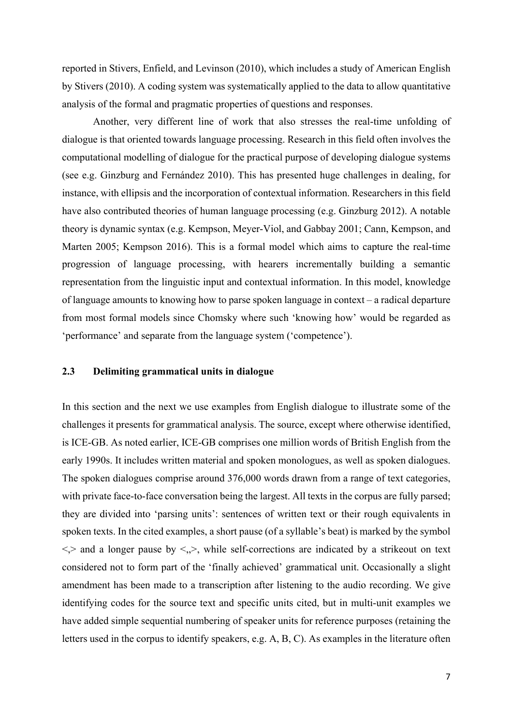reported in Stivers, Enfield, and Levinson (2010), which includes a study of American English by Stivers (2010). A coding system was systematically applied to the data to allow quantitative analysis of the formal and pragmatic properties of questions and responses.

Another, very different line of work that also stresses the real-time unfolding of dialogue is that oriented towards language processing. Research in this field often involves the computational modelling of dialogue for the practical purpose of developing dialogue systems (see e.g. Ginzburg and Fernández 2010). This has presented huge challenges in dealing, for instance, with ellipsis and the incorporation of contextual information. Researchers in this field have also contributed theories of human language processing (e.g. Ginzburg 2012). A notable theory is dynamic syntax (e.g. Kempson, Meyer-Viol, and Gabbay 2001; Cann, Kempson, and Marten 2005; Kempson 2016). This is a formal model which aims to capture the real-time progression of language processing, with hearers incrementally building a semantic representation from the linguistic input and contextual information. In this model, knowledge of language amounts to knowing how to parse spoken language in context – a radical departure from most formal models since Chomsky where such 'knowing how' would be regarded as 'performance' and separate from the language system ('competence').

#### **2.3 Delimiting grammatical units in dialogue**

In this section and the next we use examples from English dialogue to illustrate some of the challenges it presents for grammatical analysis. The source, except where otherwise identified, is ICE-GB. As noted earlier, ICE-GB comprises one million words of British English from the early 1990s. It includes written material and spoken monologues, as well as spoken dialogues. The spoken dialogues comprise around 376,000 words drawn from a range of text categories, with private face-to-face conversation being the largest. All texts in the corpus are fully parsed; they are divided into 'parsing units': sentences of written text or their rough equivalents in spoken texts. In the cited examples, a short pause (of a syllable's beat) is marked by the symbol  $\le$  and a longer pause by  $\le$ ,  $\ge$ , while self-corrections are indicated by a strikeout on text considered not to form part of the 'finally achieved' grammatical unit. Occasionally a slight amendment has been made to a transcription after listening to the audio recording. We give identifying codes for the source text and specific units cited, but in multi-unit examples we have added simple sequential numbering of speaker units for reference purposes (retaining the letters used in the corpus to identify speakers, e.g. A, B, C). As examples in the literature often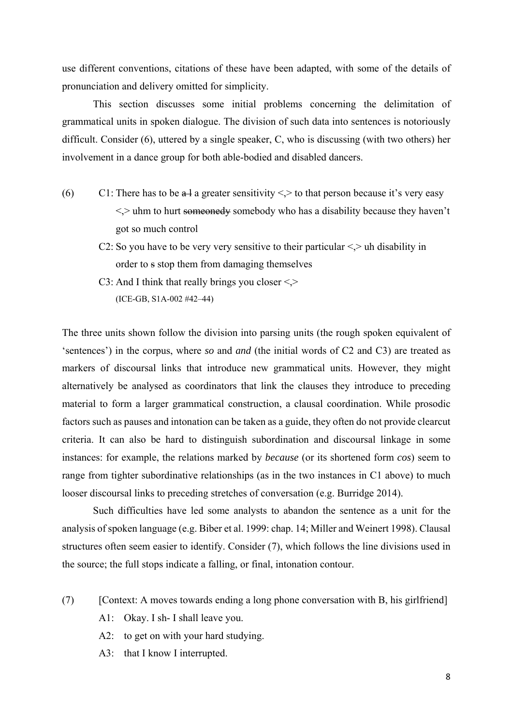use different conventions, citations of these have been adapted, with some of the details of pronunciation and delivery omitted for simplicity.

This section discusses some initial problems concerning the delimitation of grammatical units in spoken dialogue. The division of such data into sentences is notoriously difficult. Consider (6), uttered by a single speaker, C, who is discussing (with two others) her involvement in a dance group for both able-bodied and disabled dancers.

- (6) C1: There has to be  $a + a$  greater sensitivity  $\le$  to that person because it's very easy  $\le$   $>$  uhm to hurt someonedy somebody who has a disability because they haven't got so much control
	- C2: So you have to be very very sensitive to their particular  $\le$  > uh disability in order to s stop them from damaging themselves
	- C3: And I think that really brings you closer  $\le$ . (ICE-GB, S1A-002 #42–44)

The three units shown follow the division into parsing units (the rough spoken equivalent of 'sentences') in the corpus, where *so* and *and* (the initial words of C2 and C3) are treated as markers of discoursal links that introduce new grammatical units. However, they might alternatively be analysed as coordinators that link the clauses they introduce to preceding material to form a larger grammatical construction, a clausal coordination. While prosodic factors such as pauses and intonation can be taken as a guide, they often do not provide clearcut criteria. It can also be hard to distinguish subordination and discoursal linkage in some instances: for example, the relations marked by *because* (or its shortened form *cos*) seem to range from tighter subordinative relationships (as in the two instances in C1 above) to much looser discoursal links to preceding stretches of conversation (e.g. Burridge 2014).

Such difficulties have led some analysts to abandon the sentence as a unit for the analysis of spoken language (e.g. Biber et al. 1999: chap. 14; Miller and Weinert 1998). Clausal structures often seem easier to identify. Consider (7), which follows the line divisions used in the source; the full stops indicate a falling, or final, intonation contour.

- (7) [Context: A moves towards ending a long phone conversation with B, his girlfriend]
	- A1: Okay. I sh- I shall leave you.
	- A2: to get on with your hard studying.
	- A3: that I know I interrupted.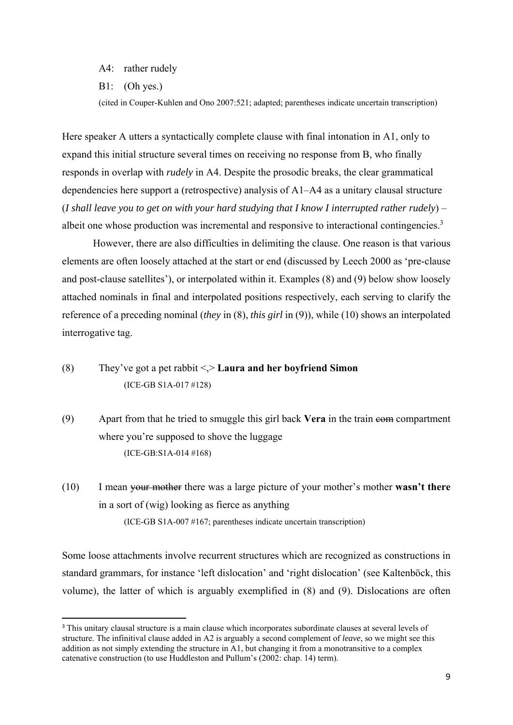A4: rather rudely

B1: (Oh yes.)

(cited in Couper-Kuhlen and Ono 2007:521; adapted; parentheses indicate uncertain transcription)

Here speaker A utters a syntactically complete clause with final intonation in A1, only to expand this initial structure several times on receiving no response from B, who finally responds in overlap with *rudely* in A4. Despite the prosodic breaks, the clear grammatical dependencies here support a (retrospective) analysis of A1–A4 as a unitary clausal structure (*I shall leave you to get on with your hard studying that I know I interrupted rather rudely*) – albeit one whose production was incremental and responsive to interactional contingencies.<sup>3</sup>

However, there are also difficulties in delimiting the clause. One reason is that various elements are often loosely attached at the start or end (discussed by Leech 2000 as 'pre-clause and post-clause satellites'), or interpolated within it. Examples (8) and (9) below show loosely attached nominals in final and interpolated positions respectively, each serving to clarify the reference of a preceding nominal (*they* in (8), *this girl* in (9)), while (10) shows an interpolated interrogative tag.

- (8) They've got a pet rabbit <,> **Laura and her boyfriend Simon**  (ICE-GB S1A-017 #128)
- (9) Apart from that he tried to smuggle this girl back **Vera** in the train com compartment where you're supposed to shove the luggage (ICE-GB:S1A-014 #168)
- (10) I mean your mother there was a large picture of your mother's mother **wasn't there** in a sort of (wig) looking as fierce as anything (ICE-GB S1A-007 #167; parentheses indicate uncertain transcription)

Some loose attachments involve recurrent structures which are recognized as constructions in standard grammars, for instance 'left dislocation' and 'right dislocation' (see Kaltenböck, this volume), the latter of which is arguably exemplified in (8) and (9). Dislocations are often

<sup>&</sup>lt;sup>3</sup> This unitary clausal structure is a main clause which incorporates subordinate clauses at several levels of structure. The infinitival clause added in A2 is arguably a second complement of *leave*, so we might see this addition as not simply extending the structure in A1, but changing it from a monotransitive to a complex catenative construction (to use Huddleston and Pullum's (2002: chap. 14) term).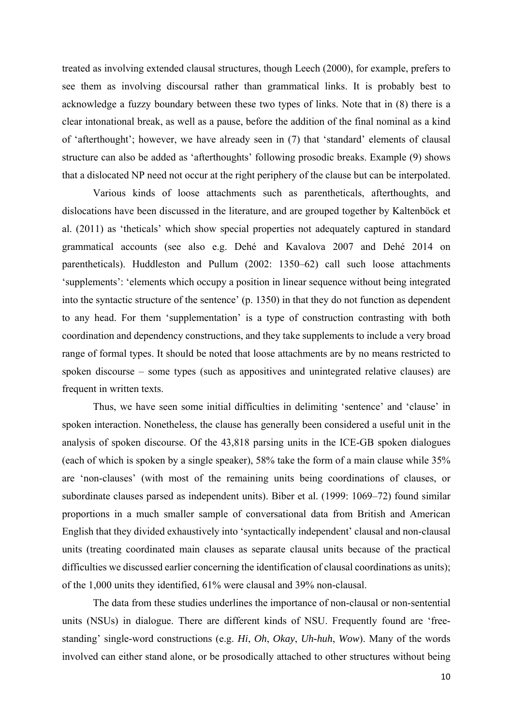treated as involving extended clausal structures, though Leech (2000), for example, prefers to see them as involving discoursal rather than grammatical links. It is probably best to acknowledge a fuzzy boundary between these two types of links. Note that in (8) there is a clear intonational break, as well as a pause, before the addition of the final nominal as a kind of 'afterthought'; however, we have already seen in (7) that 'standard' elements of clausal structure can also be added as 'afterthoughts' following prosodic breaks. Example (9) shows that a dislocated NP need not occur at the right periphery of the clause but can be interpolated.

Various kinds of loose attachments such as parentheticals, afterthoughts, and dislocations have been discussed in the literature, and are grouped together by Kaltenböck et al. (2011) as 'theticals' which show special properties not adequately captured in standard grammatical accounts (see also e.g. Dehé and Kavalova 2007 and Dehé 2014 on parentheticals). Huddleston and Pullum (2002: 1350–62) call such loose attachments 'supplements': 'elements which occupy a position in linear sequence without being integrated into the syntactic structure of the sentence' (p. 1350) in that they do not function as dependent to any head. For them 'supplementation' is a type of construction contrasting with both coordination and dependency constructions, and they take supplements to include a very broad range of formal types. It should be noted that loose attachments are by no means restricted to spoken discourse – some types (such as appositives and unintegrated relative clauses) are frequent in written texts.

Thus, we have seen some initial difficulties in delimiting 'sentence' and 'clause' in spoken interaction. Nonetheless, the clause has generally been considered a useful unit in the analysis of spoken discourse. Of the 43,818 parsing units in the ICE-GB spoken dialogues (each of which is spoken by a single speaker), 58% take the form of a main clause while 35% are 'non-clauses' (with most of the remaining units being coordinations of clauses, or subordinate clauses parsed as independent units). Biber et al. (1999: 1069–72) found similar proportions in a much smaller sample of conversational data from British and American English that they divided exhaustively into 'syntactically independent' clausal and non-clausal units (treating coordinated main clauses as separate clausal units because of the practical difficulties we discussed earlier concerning the identification of clausal coordinations as units); of the 1,000 units they identified, 61% were clausal and 39% non-clausal.

The data from these studies underlines the importance of non-clausal or non-sentential units (NSUs) in dialogue. There are different kinds of NSU. Frequently found are 'freestanding' single-word constructions (e.g. *Hi*, *Oh*, *Okay*, *Uh-huh*, *Wow*). Many of the words involved can either stand alone, or be prosodically attached to other structures without being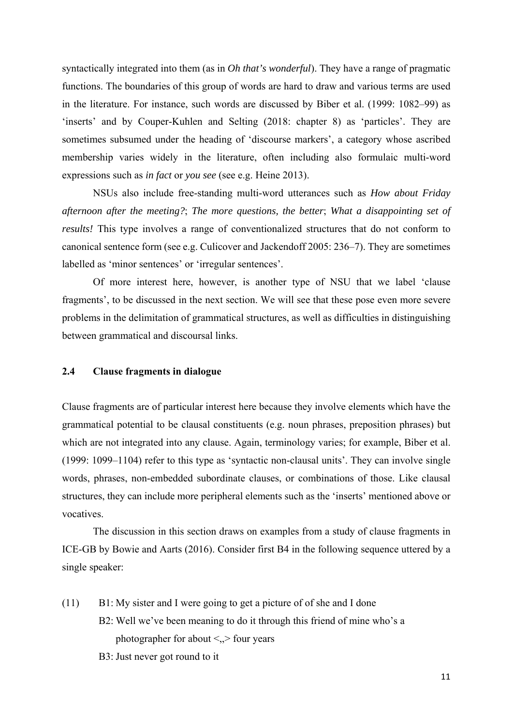syntactically integrated into them (as in *Oh that's wonderful*). They have a range of pragmatic functions. The boundaries of this group of words are hard to draw and various terms are used in the literature. For instance, such words are discussed by Biber et al. (1999: 1082–99) as 'inserts' and by Couper-Kuhlen and Selting (2018: chapter 8) as 'particles'. They are sometimes subsumed under the heading of 'discourse markers', a category whose ascribed membership varies widely in the literature, often including also formulaic multi-word expressions such as *in fact* or *you see* (see e.g. Heine 2013).

NSUs also include free-standing multi-word utterances such as *How about Friday afternoon after the meeting?*; *The more questions, the better*; *What a disappointing set of results!* This type involves a range of conventionalized structures that do not conform to canonical sentence form (see e.g. Culicover and Jackendoff 2005: 236–7). They are sometimes labelled as 'minor sentences' or 'irregular sentences'.

Of more interest here, however, is another type of NSU that we label 'clause fragments', to be discussed in the next section. We will see that these pose even more severe problems in the delimitation of grammatical structures, as well as difficulties in distinguishing between grammatical and discoursal links.

#### **2.4 Clause fragments in dialogue**

Clause fragments are of particular interest here because they involve elements which have the grammatical potential to be clausal constituents (e.g. noun phrases, preposition phrases) but which are not integrated into any clause. Again, terminology varies; for example, Biber et al. (1999: 1099–1104) refer to this type as 'syntactic non-clausal units'. They can involve single words, phrases, non-embedded subordinate clauses, or combinations of those. Like clausal structures, they can include more peripheral elements such as the 'inserts' mentioned above or vocatives.

The discussion in this section draws on examples from a study of clause fragments in ICE-GB by Bowie and Aarts (2016). Consider first B4 in the following sequence uttered by a single speaker:

- (11) B1: My sister and I were going to get a picture of of she and I done B2: Well we've been meaning to do it through this friend of mine who's a photographer for about  $\leq$ ,  $>$  four years
	- B3: Just never got round to it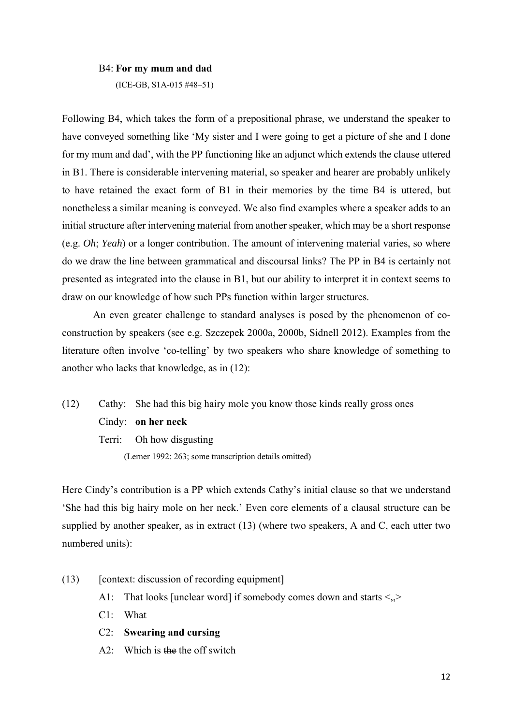#### B4: **For my mum and dad**

(ICE-GB, S1A-015 #48–51)

Following B4, which takes the form of a prepositional phrase, we understand the speaker to have conveyed something like 'My sister and I were going to get a picture of she and I done for my mum and dad', with the PP functioning like an adjunct which extends the clause uttered in B1. There is considerable intervening material, so speaker and hearer are probably unlikely to have retained the exact form of B1 in their memories by the time B4 is uttered, but nonetheless a similar meaning is conveyed. We also find examples where a speaker adds to an initial structure after intervening material from another speaker, which may be a short response (e.g. *Oh*; *Yeah*) or a longer contribution. The amount of intervening material varies, so where do we draw the line between grammatical and discoursal links? The PP in B4 is certainly not presented as integrated into the clause in B1, but our ability to interpret it in context seems to draw on our knowledge of how such PPs function within larger structures.

An even greater challenge to standard analyses is posed by the phenomenon of coconstruction by speakers (see e.g. Szczepek 2000a, 2000b, Sidnell 2012). Examples from the literature often involve 'co-telling' by two speakers who share knowledge of something to another who lacks that knowledge, as in (12):

- (12) Cathy: She had this big hairy mole you know those kinds really gross ones Cindy: **on her neck**
	- Terri: Oh how disgusting
		- (Lerner 1992: 263; some transcription details omitted)

Here Cindy's contribution is a PP which extends Cathy's initial clause so that we understand 'She had this big hairy mole on her neck.' Even core elements of a clausal structure can be supplied by another speaker, as in extract (13) (where two speakers, A and C, each utter two numbered units):

- $(13)$  [context: discussion of recording equipment]
	- A1: That looks [unclear word] if somebody comes down and starts <<sub>2</sub>, >
	- C1: What
	- C2: **Swearing and cursing**
	- A2: Which is the the off switch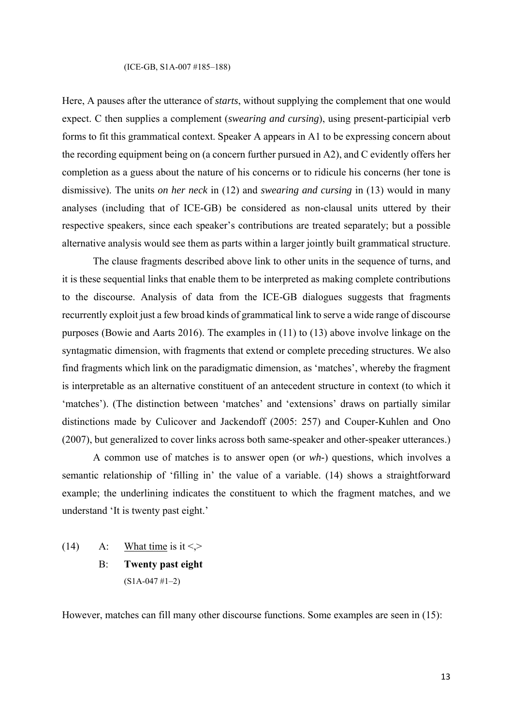Here, A pauses after the utterance of *starts*, without supplying the complement that one would expect. C then supplies a complement (*swearing and cursing*), using present-participial verb forms to fit this grammatical context. Speaker A appears in A1 to be expressing concern about the recording equipment being on (a concern further pursued in A2), and C evidently offers her completion as a guess about the nature of his concerns or to ridicule his concerns (her tone is dismissive). The units *on her neck* in (12) and *swearing and cursing* in (13) would in many analyses (including that of ICE-GB) be considered as non-clausal units uttered by their respective speakers, since each speaker's contributions are treated separately; but a possible alternative analysis would see them as parts within a larger jointly built grammatical structure.

The clause fragments described above link to other units in the sequence of turns, and it is these sequential links that enable them to be interpreted as making complete contributions to the discourse. Analysis of data from the ICE-GB dialogues suggests that fragments recurrently exploit just a few broad kinds of grammatical link to serve a wide range of discourse purposes (Bowie and Aarts 2016). The examples in (11) to (13) above involve linkage on the syntagmatic dimension, with fragments that extend or complete preceding structures. We also find fragments which link on the paradigmatic dimension, as 'matches', whereby the fragment is interpretable as an alternative constituent of an antecedent structure in context (to which it 'matches'). (The distinction between 'matches' and 'extensions' draws on partially similar distinctions made by Culicover and Jackendoff (2005: 257) and Couper-Kuhlen and Ono (2007), but generalized to cover links across both same-speaker and other-speaker utterances.)

A common use of matches is to answer open (or *wh-*) questions, which involves a semantic relationship of 'filling in' the value of a variable. (14) shows a straightforward example; the underlining indicates the constituent to which the fragment matches, and we understand 'It is twenty past eight.'

(14) A: What time is it <,> B: **Twenty past eight**  (S1A-047 #1–2)

However, matches can fill many other discourse functions. Some examples are seen in (15):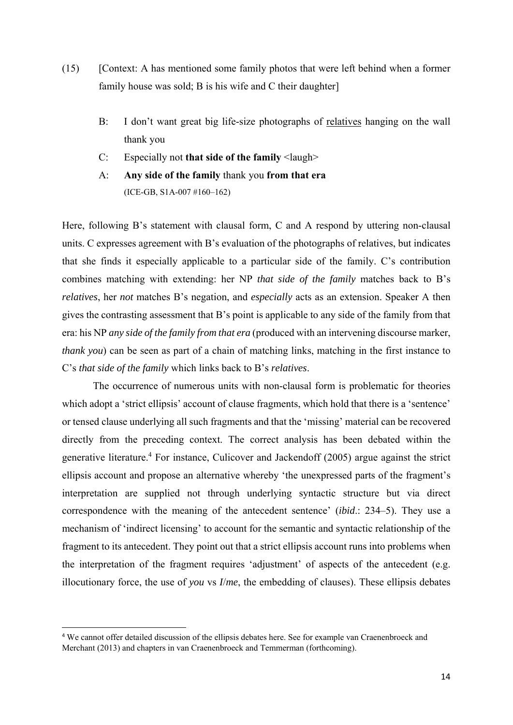- (15) [Context: A has mentioned some family photos that were left behind when a former family house was sold; B is his wife and C their daughter]
	- B: I don't want great big life-size photographs of relatives hanging on the wall thank you
	- C: Especially not **that side of the family** <laugh>
	- A: **Any side of the family** thank you **from that era** (ICE-GB, S1A-007 #160–162)

Here, following B's statement with clausal form, C and A respond by uttering non-clausal units. C expresses agreement with B's evaluation of the photographs of relatives, but indicates that she finds it especially applicable to a particular side of the family. C's contribution combines matching with extending: her NP *that side of the family* matches back to B's *relatives*, her *not* matches B's negation, and *especially* acts as an extension. Speaker A then gives the contrasting assessment that B's point is applicable to any side of the family from that era: his NP *any side of the family from that era* (produced with an intervening discourse marker, *thank you*) can be seen as part of a chain of matching links, matching in the first instance to C's *that side of the family* which links back to B's *relatives*.

The occurrence of numerous units with non-clausal form is problematic for theories which adopt a 'strict ellipsis' account of clause fragments, which hold that there is a 'sentence' or tensed clause underlying all such fragments and that the 'missing' material can be recovered directly from the preceding context. The correct analysis has been debated within the generative literature.<sup>4</sup> For instance, Culicover and Jackendoff (2005) argue against the strict ellipsis account and propose an alternative whereby 'the unexpressed parts of the fragment's interpretation are supplied not through underlying syntactic structure but via direct correspondence with the meaning of the antecedent sentence' (*ibid*.: 234–5). They use a mechanism of 'indirect licensing' to account for the semantic and syntactic relationship of the fragment to its antecedent. They point out that a strict ellipsis account runs into problems when the interpretation of the fragment requires 'adjustment' of aspects of the antecedent (e.g. illocutionary force, the use of *you* vs *I*/*me*, the embedding of clauses). These ellipsis debates

<sup>4</sup> We cannot offer detailed discussion of the ellipsis debates here. See for example van Craenenbroeck and Merchant (2013) and chapters in van Craenenbroeck and Temmerman (forthcoming).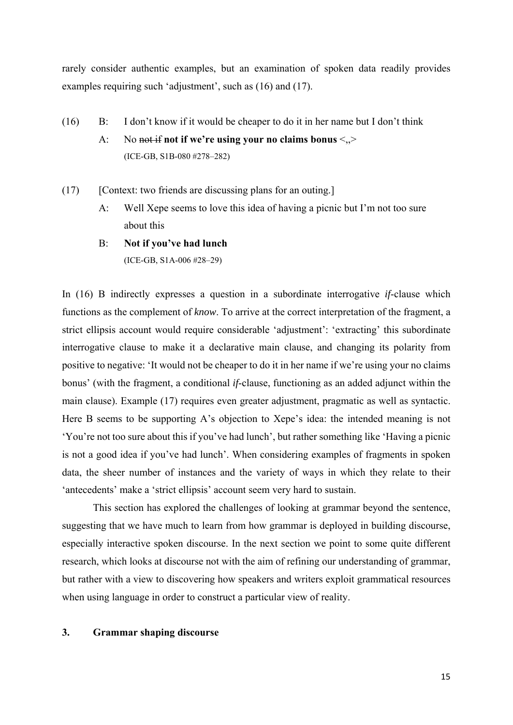rarely consider authentic examples, but an examination of spoken data readily provides examples requiring such 'adjustment', such as (16) and (17).

- (16) B: I don't know if it would be cheaper to do it in her name but I don't think
	- A: No not if **not if we're using your no claims bonus** <,,> (ICE-GB, S1B-080 #278–282)
- $(17)$  [Context: two friends are discussing plans for an outing.]
	- A: Well Xepe seems to love this idea of having a picnic but I'm not too sure about this
	- B: **Not if you've had lunch** (ICE-GB, S1A-006 #28–29)

In (16) B indirectly expresses a question in a subordinate interrogative *if*-clause which functions as the complement of *know*. To arrive at the correct interpretation of the fragment, a strict ellipsis account would require considerable 'adjustment': 'extracting' this subordinate interrogative clause to make it a declarative main clause, and changing its polarity from positive to negative: 'It would not be cheaper to do it in her name if we're using your no claims bonus' (with the fragment, a conditional *if*-clause, functioning as an added adjunct within the main clause). Example (17) requires even greater adjustment, pragmatic as well as syntactic. Here B seems to be supporting A's objection to Xepe's idea: the intended meaning is not 'You're not too sure about this if you've had lunch', but rather something like 'Having a picnic is not a good idea if you've had lunch'. When considering examples of fragments in spoken data, the sheer number of instances and the variety of ways in which they relate to their 'antecedents' make a 'strict ellipsis' account seem very hard to sustain.

This section has explored the challenges of looking at grammar beyond the sentence, suggesting that we have much to learn from how grammar is deployed in building discourse, especially interactive spoken discourse. In the next section we point to some quite different research, which looks at discourse not with the aim of refining our understanding of grammar, but rather with a view to discovering how speakers and writers exploit grammatical resources when using language in order to construct a particular view of reality.

## **3. Grammar shaping discourse**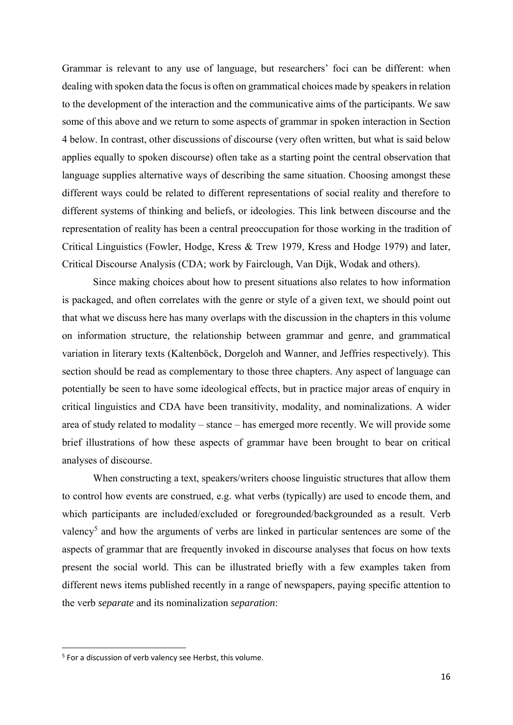Grammar is relevant to any use of language, but researchers' foci can be different: when dealing with spoken data the focus is often on grammatical choices made by speakers in relation to the development of the interaction and the communicative aims of the participants. We saw some of this above and we return to some aspects of grammar in spoken interaction in Section 4 below. In contrast, other discussions of discourse (very often written, but what is said below applies equally to spoken discourse) often take as a starting point the central observation that language supplies alternative ways of describing the same situation. Choosing amongst these different ways could be related to different representations of social reality and therefore to different systems of thinking and beliefs, or ideologies. This link between discourse and the representation of reality has been a central preoccupation for those working in the tradition of Critical Linguistics (Fowler, Hodge, Kress & Trew 1979, Kress and Hodge 1979) and later, Critical Discourse Analysis (CDA; work by Fairclough, Van Dijk, Wodak and others).

Since making choices about how to present situations also relates to how information is packaged, and often correlates with the genre or style of a given text, we should point out that what we discuss here has many overlaps with the discussion in the chapters in this volume on information structure, the relationship between grammar and genre, and grammatical variation in literary texts (Kaltenböck, Dorgeloh and Wanner, and Jeffries respectively). This section should be read as complementary to those three chapters. Any aspect of language can potentially be seen to have some ideological effects, but in practice major areas of enquiry in critical linguistics and CDA have been transitivity, modality, and nominalizations. A wider area of study related to modality – stance – has emerged more recently. We will provide some brief illustrations of how these aspects of grammar have been brought to bear on critical analyses of discourse.

When constructing a text, speakers/writers choose linguistic structures that allow them to control how events are construed, e.g. what verbs (typically) are used to encode them, and which participants are included/excluded or foregrounded/backgrounded as a result. Verb valency<sup>5</sup> and how the arguments of verbs are linked in particular sentences are some of the aspects of grammar that are frequently invoked in discourse analyses that focus on how texts present the social world. This can be illustrated briefly with a few examples taken from different news items published recently in a range of newspapers, paying specific attention to the verb *separate* and its nominalization *separation*:

<sup>&</sup>lt;sup>5</sup> For a discussion of verb valency see Herbst, this volume.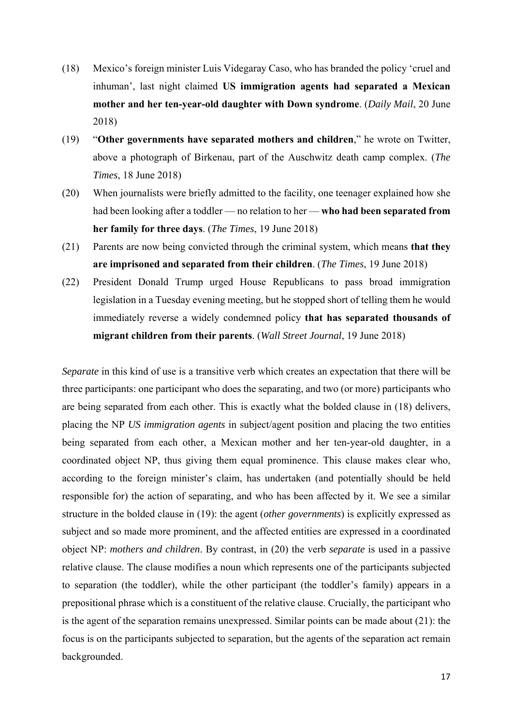- (18) Mexico's foreign minister Luis Videgaray Caso, who has branded the policy 'cruel and inhuman', last night claimed **US immigration agents had separated a Mexican mother and her ten-year-old daughter with Down syndrome**. (*Daily Mail*, 20 June 2018)
- (19) "**Other governments have separated mothers and children**," he wrote on Twitter, above a photograph of Birkenau, part of the Auschwitz death camp complex. (*The Times*, 18 June 2018)
- (20) When journalists were briefly admitted to the facility, one teenager explained how she had been looking after a toddler — no relation to her — **who had been separated from her family for three days**. (*The Times*, 19 June 2018)
- (21) Parents are now being convicted through the criminal system, which means **that they are imprisoned and separated from their children**. (*The Times*, 19 June 2018)
- (22) President Donald Trump urged House Republicans to pass broad immigration legislation in a Tuesday evening meeting, but he stopped short of telling them he would immediately reverse a widely condemned policy **that has separated thousands of migrant children from their parents**. (*Wall Street Journal*, 19 June 2018)

*Separate* in this kind of use is a transitive verb which creates an expectation that there will be three participants: one participant who does the separating, and two (or more) participants who are being separated from each other. This is exactly what the bolded clause in (18) delivers, placing the NP *US immigration agents* in subject/agent position and placing the two entities being separated from each other, a Mexican mother and her ten-year-old daughter, in a coordinated object NP, thus giving them equal prominence. This clause makes clear who, according to the foreign minister's claim, has undertaken (and potentially should be held responsible for) the action of separating, and who has been affected by it. We see a similar structure in the bolded clause in (19): the agent (*other governments*) is explicitly expressed as subject and so made more prominent, and the affected entities are expressed in a coordinated object NP: *mothers and children*. By contrast, in (20) the verb *separate* is used in a passive relative clause. The clause modifies a noun which represents one of the participants subjected to separation (the toddler), while the other participant (the toddler's family) appears in a prepositional phrase which is a constituent of the relative clause. Crucially, the participant who is the agent of the separation remains unexpressed. Similar points can be made about (21): the focus is on the participants subjected to separation, but the agents of the separation act remain backgrounded.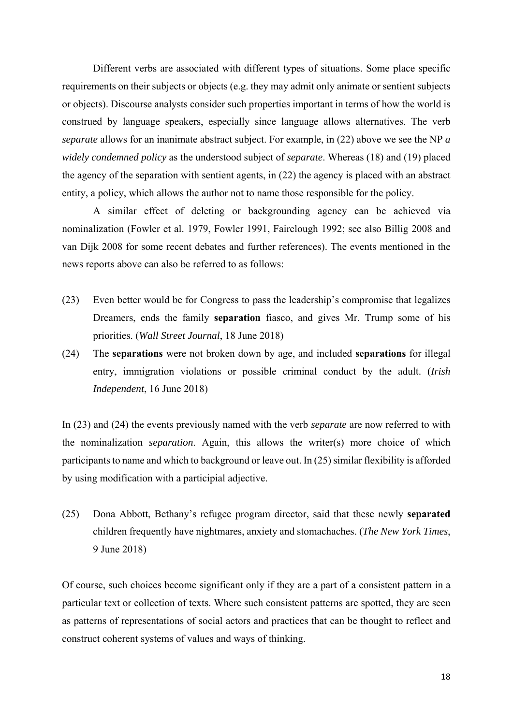Different verbs are associated with different types of situations. Some place specific requirements on their subjects or objects (e.g. they may admit only animate or sentient subjects or objects). Discourse analysts consider such properties important in terms of how the world is construed by language speakers, especially since language allows alternatives. The verb *separate* allows for an inanimate abstract subject. For example, in (22) above we see the NP *a widely condemned policy* as the understood subject of *separate*. Whereas (18) and (19) placed the agency of the separation with sentient agents, in (22) the agency is placed with an abstract entity, a policy, which allows the author not to name those responsible for the policy.

 A similar effect of deleting or backgrounding agency can be achieved via nominalization (Fowler et al. 1979, Fowler 1991, Fairclough 1992; see also Billig 2008 and van Dijk 2008 for some recent debates and further references). The events mentioned in the news reports above can also be referred to as follows:

- (23) Even better would be for Congress to pass the leadership's compromise that legalizes Dreamers, ends the family **separation** fiasco, and gives Mr. Trump some of his priorities. (*Wall Street Journal*, 18 June 2018)
- (24) The **separations** were not broken down by age, and included **separations** for illegal entry, immigration violations or possible criminal conduct by the adult. (*Irish Independent*, 16 June 2018)

In (23) and (24) the events previously named with the verb *separate* are now referred to with the nominalization *separation*. Again, this allows the writer(s) more choice of which participants to name and which to background or leave out. In (25) similar flexibility is afforded by using modification with a participial adjective.

(25) Dona Abbott, Bethany's refugee program director, said that these newly **separated** children frequently have nightmares, anxiety and stomachaches. (*The New York Times*, 9 June 2018)

Of course, such choices become significant only if they are a part of a consistent pattern in a particular text or collection of texts. Where such consistent patterns are spotted, they are seen as patterns of representations of social actors and practices that can be thought to reflect and construct coherent systems of values and ways of thinking.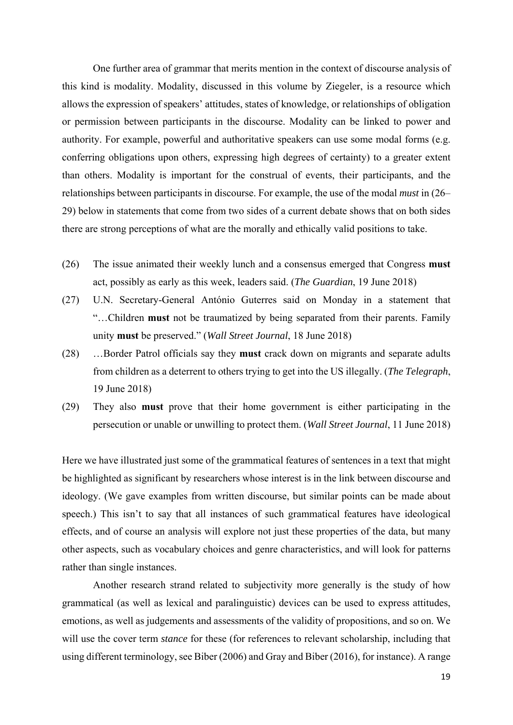One further area of grammar that merits mention in the context of discourse analysis of this kind is modality. Modality, discussed in this volume by Ziegeler, is a resource which allows the expression of speakers' attitudes, states of knowledge, or relationships of obligation or permission between participants in the discourse. Modality can be linked to power and authority. For example, powerful and authoritative speakers can use some modal forms (e.g. conferring obligations upon others, expressing high degrees of certainty) to a greater extent than others. Modality is important for the construal of events, their participants, and the relationships between participants in discourse. For example, the use of the modal *must* in (26– 29) below in statements that come from two sides of a current debate shows that on both sides there are strong perceptions of what are the morally and ethically valid positions to take.

- (26) The issue animated their weekly lunch and a consensus emerged that Congress **must** act, possibly as early as this week, leaders said. (*The Guardian*, 19 June 2018)
- (27) U.N. Secretary-General António Guterres said on Monday in a statement that "…Children **must** not be traumatized by being separated from their parents. Family unity **must** be preserved." (*Wall Street Journal*, 18 June 2018)
- (28) …Border Patrol officials say they **must** crack down on migrants and separate adults from children as a deterrent to others trying to get into the US illegally. (*The Telegraph*, 19 June 2018)
- (29) They also **must** prove that their home government is either participating in the persecution or unable or unwilling to protect them. (*Wall Street Journal*, 11 June 2018)

Here we have illustrated just some of the grammatical features of sentences in a text that might be highlighted as significant by researchers whose interest is in the link between discourse and ideology. (We gave examples from written discourse, but similar points can be made about speech.) This isn't to say that all instances of such grammatical features have ideological effects, and of course an analysis will explore not just these properties of the data, but many other aspects, such as vocabulary choices and genre characteristics, and will look for patterns rather than single instances.

Another research strand related to subjectivity more generally is the study of how grammatical (as well as lexical and paralinguistic) devices can be used to express attitudes, emotions, as well as judgements and assessments of the validity of propositions, and so on. We will use the cover term *stance* for these (for references to relevant scholarship, including that using different terminology, see Biber (2006) and Gray and Biber (2016), for instance). A range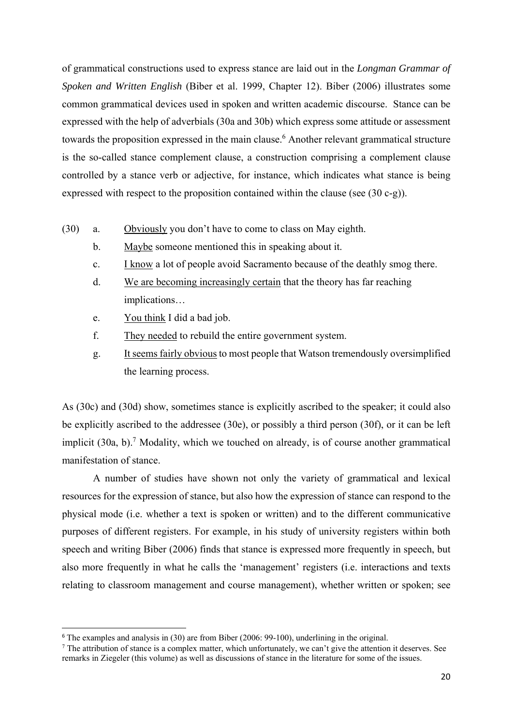of grammatical constructions used to express stance are laid out in the *Longman Grammar of Spoken and Written English* (Biber et al. 1999, Chapter 12). Biber (2006) illustrates some common grammatical devices used in spoken and written academic discourse. Stance can be expressed with the help of adverbials (30a and 30b) which express some attitude or assessment towards the proposition expressed in the main clause.<sup>6</sup> Another relevant grammatical structure is the so-called stance complement clause, a construction comprising a complement clause controlled by a stance verb or adjective, for instance, which indicates what stance is being expressed with respect to the proposition contained within the clause (see (30 c-g)).

- (30) a. Obviously you don't have to come to class on May eighth.
	- b. Maybe someone mentioned this in speaking about it.
	- c. **I know a lot of people avoid Sacramento because of the deathly smog there.**
	- d. We are becoming increasingly certain that the theory has far reaching implications…
	- e. You think I did a bad job.

- f. They needed to rebuild the entire government system.
- g. It seems fairly obvious to most people that Watson tremendously oversimplified the learning process.

As (30c) and (30d) show, sometimes stance is explicitly ascribed to the speaker; it could also be explicitly ascribed to the addressee (30e), or possibly a third person (30f), or it can be left implicit  $(30a, b)$ .<sup>7</sup> Modality, which we touched on already, is of course another grammatical manifestation of stance.

A number of studies have shown not only the variety of grammatical and lexical resources for the expression of stance, but also how the expression of stance can respond to the physical mode (i.e. whether a text is spoken or written) and to the different communicative purposes of different registers. For example, in his study of university registers within both speech and writing Biber (2006) finds that stance is expressed more frequently in speech, but also more frequently in what he calls the 'management' registers (i.e. interactions and texts relating to classroom management and course management), whether written or spoken; see

<sup>6</sup> The examples and analysis in (30) are from Biber (2006: 99-100), underlining in the original.

 $<sup>7</sup>$  The attribution of stance is a complex matter, which unfortunately, we can't give the attention it deserves. See</sup> remarks in Ziegeler (this volume) as well as discussions of stance in the literature for some of the issues.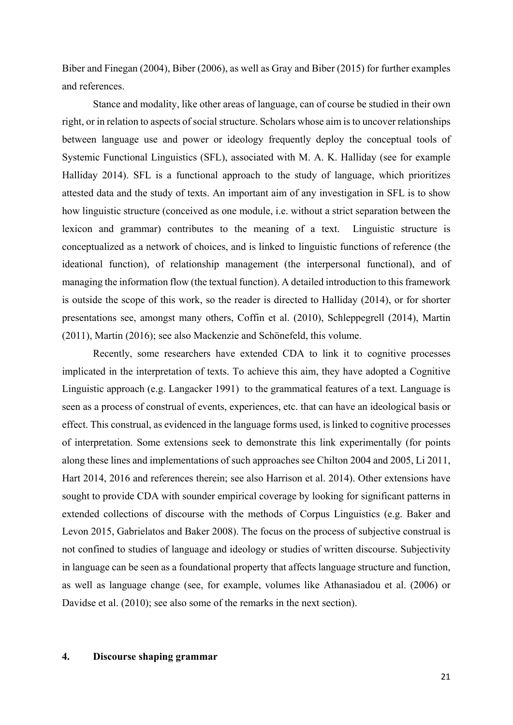Biber and Finegan (2004), Biber (2006), as well as Gray and Biber (2015) for further examples and references.

Stance and modality, like other areas of language, can of course be studied in their own right, or in relation to aspects of social structure. Scholars whose aim is to uncover relationships between language use and power or ideology frequently deploy the conceptual tools of Systemic Functional Linguistics (SFL), associated with M. A. K. Halliday (see for example Halliday 2014). SFL is a functional approach to the study of language, which prioritizes attested data and the study of texts. An important aim of any investigation in SFL is to show how linguistic structure (conceived as one module, i.e. without a strict separation between the lexicon and grammar) contributes to the meaning of a text. Linguistic structure is conceptualized as a network of choices, and is linked to linguistic functions of reference (the ideational function), of relationship management (the interpersonal functional), and of managing the information flow (the textual function). A detailed introduction to this framework is outside the scope of this work, so the reader is directed to Halliday (2014), or for shorter presentations see, amongst many others, Coffin et al. (2010), Schleppegrell (2014), Martin (2011), Martin (2016); see also Mackenzie and Schönefeld, this volume.

Recently, some researchers have extended CDA to link it to cognitive processes implicated in the interpretation of texts. To achieve this aim, they have adopted a Cognitive Linguistic approach (e.g. Langacker 1991) to the grammatical features of a text. Language is seen as a process of construal of events, experiences, etc. that can have an ideological basis or effect. This construal, as evidenced in the language forms used, is linked to cognitive processes of interpretation. Some extensions seek to demonstrate this link experimentally (for points along these lines and implementations of such approaches see Chilton 2004 and 2005, Li 2011, Hart 2014, 2016 and references therein; see also Harrison et al. 2014). Other extensions have sought to provide CDA with sounder empirical coverage by looking for significant patterns in extended collections of discourse with the methods of Corpus Linguistics (e.g. Baker and Levon 2015, Gabrielatos and Baker 2008). The focus on the process of subjective construal is not confined to studies of language and ideology or studies of written discourse. Subjectivity in language can be seen as a foundational property that affects language structure and function, as well as language change (see, for example, volumes like Athanasiadou et al. (2006) or Davidse et al. (2010); see also some of the remarks in the next section).

### **4. Discourse shaping grammar**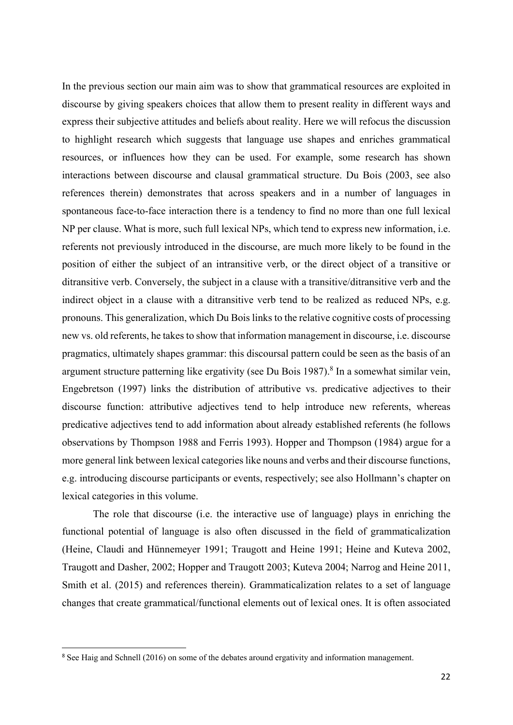In the previous section our main aim was to show that grammatical resources are exploited in discourse by giving speakers choices that allow them to present reality in different ways and express their subjective attitudes and beliefs about reality. Here we will refocus the discussion to highlight research which suggests that language use shapes and enriches grammatical resources, or influences how they can be used. For example, some research has shown interactions between discourse and clausal grammatical structure. Du Bois (2003, see also references therein) demonstrates that across speakers and in a number of languages in spontaneous face-to-face interaction there is a tendency to find no more than one full lexical NP per clause. What is more, such full lexical NPs, which tend to express new information, i.e. referents not previously introduced in the discourse, are much more likely to be found in the position of either the subject of an intransitive verb, or the direct object of a transitive or ditransitive verb. Conversely, the subject in a clause with a transitive/ditransitive verb and the indirect object in a clause with a ditransitive verb tend to be realized as reduced NPs, e.g. pronouns. This generalization, which Du Bois links to the relative cognitive costs of processing new vs. old referents, he takes to show that information management in discourse, i.e. discourse pragmatics, ultimately shapes grammar: this discoursal pattern could be seen as the basis of an argument structure patterning like ergativity (see Du Bois 1987).<sup>8</sup> In a somewhat similar vein, Engebretson (1997) links the distribution of attributive vs. predicative adjectives to their discourse function: attributive adjectives tend to help introduce new referents, whereas predicative adjectives tend to add information about already established referents (he follows observations by Thompson 1988 and Ferris 1993). Hopper and Thompson (1984) argue for a more general link between lexical categories like nouns and verbs and their discourse functions, e.g. introducing discourse participants or events, respectively; see also Hollmann's chapter on lexical categories in this volume.

The role that discourse (i.e. the interactive use of language) plays in enriching the functional potential of language is also often discussed in the field of grammaticalization (Heine, Claudi and Hünnemeyer 1991; Traugott and Heine 1991; Heine and Kuteva 2002, Traugott and Dasher, 2002; Hopper and Traugott 2003; Kuteva 2004; Narrog and Heine 2011, Smith et al. (2015) and references therein). Grammaticalization relates to a set of language changes that create grammatical/functional elements out of lexical ones. It is often associated

<sup>&</sup>lt;sup>8</sup> See Haig and Schnell (2016) on some of the debates around ergativity and information management.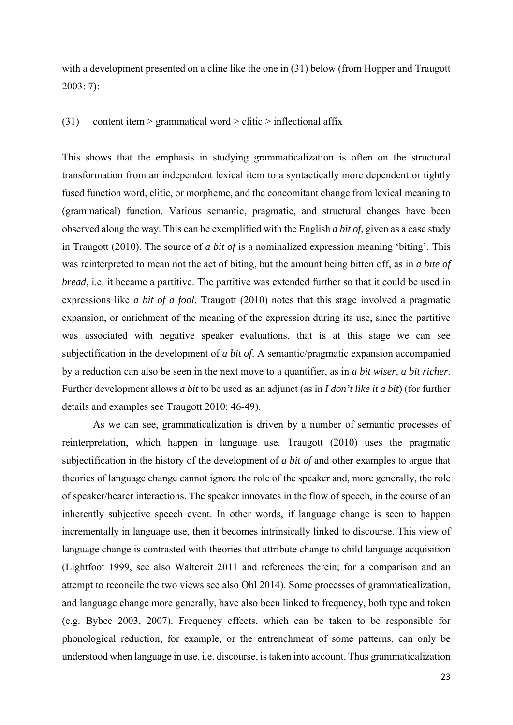with a development presented on a cline like the one in (31) below (from Hopper and Traugott 2003: 7):

(31) content item > grammatical word > clitic > inflectional affix

This shows that the emphasis in studying grammaticalization is often on the structural transformation from an independent lexical item to a syntactically more dependent or tightly fused function word, clitic, or morpheme, and the concomitant change from lexical meaning to (grammatical) function. Various semantic, pragmatic, and structural changes have been observed along the way. This can be exemplified with the English *a bit of*, given as a case study in Traugott (2010). The source of *a bit of* is a nominalized expression meaning 'biting'. This was reinterpreted to mean not the act of biting, but the amount being bitten off, as in *a bite of bread*, i.e. it became a partitive. The partitive was extended further so that it could be used in expressions like *a bit of a fool*. Traugott (2010) notes that this stage involved a pragmatic expansion, or enrichment of the meaning of the expression during its use, since the partitive was associated with negative speaker evaluations, that is at this stage we can see subjectification in the development of *a bit of*. A semantic/pragmatic expansion accompanied by a reduction can also be seen in the next move to a quantifier, as in *a bit wiser, a bit richer*. Further development allows *a bit* to be used as an adjunct (as in *I don't like it a bit*) (for further details and examples see Traugott 2010: 46-49).

As we can see, grammaticalization is driven by a number of semantic processes of reinterpretation, which happen in language use. Traugott (2010) uses the pragmatic subjectification in the history of the development of *a bit of* and other examples to argue that theories of language change cannot ignore the role of the speaker and, more generally, the role of speaker/hearer interactions. The speaker innovates in the flow of speech, in the course of an inherently subjective speech event. In other words, if language change is seen to happen incrementally in language use, then it becomes intrinsically linked to discourse. This view of language change is contrasted with theories that attribute change to child language acquisition (Lightfoot 1999, see also Waltereit 2011 and references therein; for a comparison and an attempt to reconcile the two views see also Öhl 2014). Some processes of grammaticalization, and language change more generally, have also been linked to frequency, both type and token (e.g. Bybee 2003, 2007). Frequency effects, which can be taken to be responsible for phonological reduction, for example, or the entrenchment of some patterns, can only be understood when language in use, i.e. discourse, is taken into account. Thus grammaticalization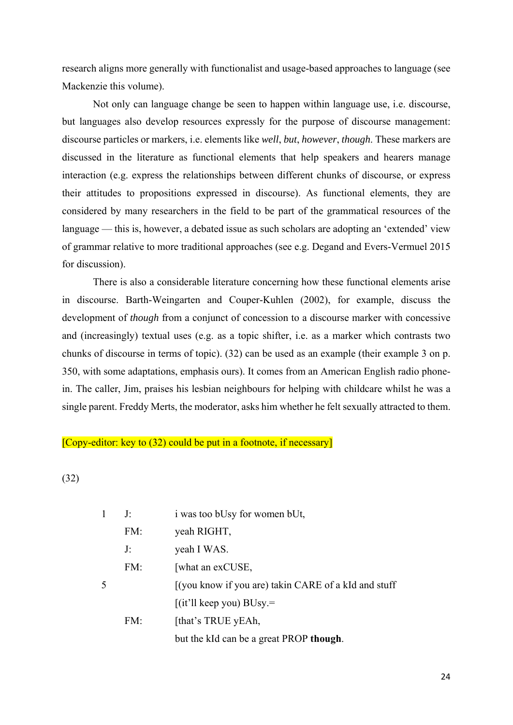research aligns more generally with functionalist and usage-based approaches to language (see Mackenzie this volume).

Not only can language change be seen to happen within language use, i.e. discourse, but languages also develop resources expressly for the purpose of discourse management: discourse particles or markers, i.e. elements like *well*, *but*, *however*, *though*. These markers are discussed in the literature as functional elements that help speakers and hearers manage interaction (e.g. express the relationships between different chunks of discourse, or express their attitudes to propositions expressed in discourse). As functional elements, they are considered by many researchers in the field to be part of the grammatical resources of the language — this is, however, a debated issue as such scholars are adopting an 'extended' view of grammar relative to more traditional approaches (see e.g. Degand and Evers-Vermuel 2015 for discussion).

There is also a considerable literature concerning how these functional elements arise in discourse. Barth-Weingarten and Couper-Kuhlen (2002), for example, discuss the development of *though* from a conjunct of concession to a discourse marker with concessive and (increasingly) textual uses (e.g. as a topic shifter, i.e. as a marker which contrasts two chunks of discourse in terms of topic). (32) can be used as an example (their example 3 on p. 350, with some adaptations, emphasis ours). It comes from an American English radio phonein. The caller, Jim, praises his lesbian neighbours for helping with childcare whilst he was a single parent. Freddy Merts, the moderator, asks him whether he felt sexually attracted to them.

[Copy-editor: key to (32) could be put in a footnote, if necessary]

(32)

|   | J:  | i was too bUsy for women bUt,                        |
|---|-----|------------------------------------------------------|
|   | FM: | yeah RIGHT,                                          |
|   | J:  | yeah I WAS.                                          |
|   | FM: | [what an exCUSE,                                     |
| 5 |     | [(you know if you are) takin CARE of a kId and stuff |
|   |     | $[(it']$ l keep you) BUsy.                           |
|   | FM: | [that's TRUE yEAh,                                   |
|   |     | but the kId can be a great PROP though.              |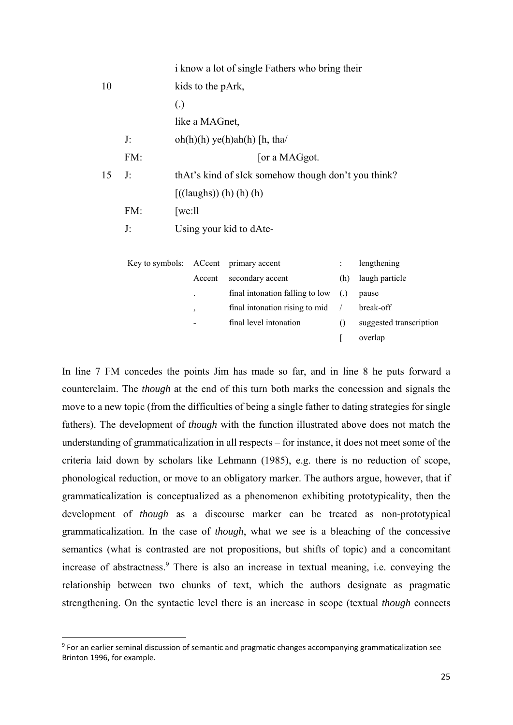|    |     | i know a lot of single Fathers who bring their      |                                       |     |                |  |
|----|-----|-----------------------------------------------------|---------------------------------------|-----|----------------|--|
| 10 |     | kids to the pArk,                                   |                                       |     |                |  |
|    |     | $\left( .\right)$<br>like a MAGnet,                 |                                       |     |                |  |
|    |     |                                                     |                                       |     |                |  |
|    | J:  | $oh(h)(h)$ ye(h)ah(h) [h, tha/                      |                                       |     |                |  |
|    | FM: | [or a MAGgot.                                       |                                       |     |                |  |
| 15 | J:  | thAt's kind of slck somehow though don't you think? |                                       |     |                |  |
|    |     | $((\text{laughs}))(h)(h)$                           |                                       |     |                |  |
|    | FM: | [we:1]                                              |                                       |     |                |  |
|    | J:  | Using your kid to dAte-                             |                                       |     |                |  |
|    |     |                                                     |                                       |     |                |  |
|    |     |                                                     | Key to symbols: ACcent primary accent | ÷   | lengthening    |  |
|    |     | Accent                                              | secondary accent                      | (h) | laugh particle |  |

| Accent  | secondary accent                             | (h) | laugh particle          |
|---------|----------------------------------------------|-----|-------------------------|
| $\cdot$ | final intonation falling to $low$ (.)        |     | pause                   |
| $\cdot$ | final intonation rising to mid $\frac{1}{2}$ |     | break-off               |
|         | final level intonation                       |     | suggested transcription |
|         |                                              |     | overlap                 |
|         |                                              |     |                         |

In line 7 FM concedes the points Jim has made so far, and in line 8 he puts forward a counterclaim. The *though* at the end of this turn both marks the concession and signals the move to a new topic (from the difficulties of being a single father to dating strategies for single fathers). The development of *though* with the function illustrated above does not match the understanding of grammaticalization in all respects – for instance, it does not meet some of the criteria laid down by scholars like Lehmann (1985), e.g. there is no reduction of scope, phonological reduction, or move to an obligatory marker. The authors argue, however, that if grammaticalization is conceptualized as a phenomenon exhibiting prototypicality, then the development of *though* as a discourse marker can be treated as non-prototypical grammaticalization. In the case of *though*, what we see is a bleaching of the concessive semantics (what is contrasted are not propositions, but shifts of topic) and a concomitant increase of abstractness.<sup>9</sup> There is also an increase in textual meaning, i.e. conveying the relationship between two chunks of text, which the authors designate as pragmatic strengthening. On the syntactic level there is an increase in scope (textual *though* connects

<sup>&</sup>lt;sup>9</sup> For an earlier seminal discussion of semantic and pragmatic changes accompanying grammaticalization see Brinton 1996, for example.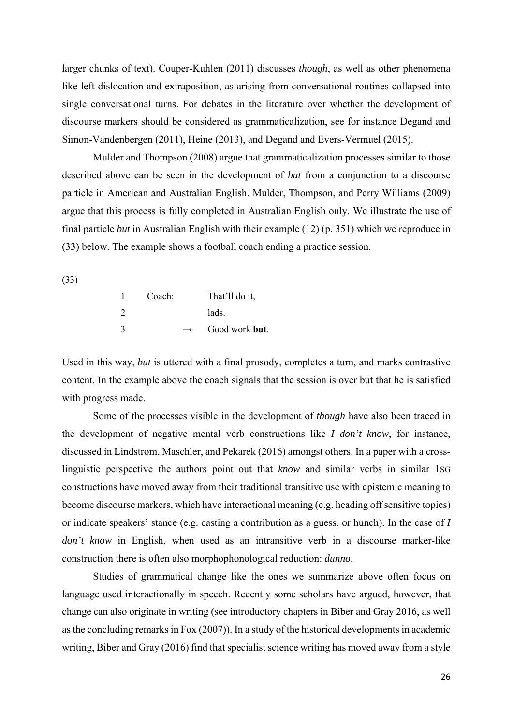larger chunks of text). Couper-Kuhlen (2011) discusses *though*, as well as other phenomena like left dislocation and extraposition, as arising from conversational routines collapsed into single conversational turns. For debates in the literature over whether the development of discourse markers should be considered as grammaticalization, see for instance Degand and Simon-Vandenbergen (2011), Heine (2013), and Degand and Evers-Vermuel (2015).

Mulder and Thompson (2008) argue that grammaticalization processes similar to those described above can be seen in the development of *but* from a conjunction to a discourse particle in American and Australian English. Mulder, Thompson, and Perry Williams (2009) argue that this process is fully completed in Australian English only. We illustrate the use of final particle *but* in Australian English with their example (12) (p. 351) which we reproduce in (33) below. The example shows a football coach ending a practice session.

(33)

|               | Coach: |               | That'll do it,         |
|---------------|--------|---------------|------------------------|
| $\mathcal{D}$ |        |               | lads.                  |
| $\mathcal{R}$ |        | $\rightarrow$ | Good work <b>but</b> . |

Used in this way, *but* is uttered with a final prosody, completes a turn, and marks contrastive content. In the example above the coach signals that the session is over but that he is satisfied with progress made.

Some of the processes visible in the development of *though* have also been traced in the development of negative mental verb constructions like *I don't know*, for instance, discussed in Lindstrom, Maschler, and Pekarek (2016) amongst others. In a paper with a crosslinguistic perspective the authors point out that *know* and similar verbs in similar 1SG constructions have moved away from their traditional transitive use with epistemic meaning to become discourse markers, which have interactional meaning (e.g. heading off sensitive topics) or indicate speakers' stance (e.g. casting a contribution as a guess, or hunch). In the case of *I don't know* in English, when used as an intransitive verb in a discourse marker-like construction there is often also morphophonological reduction: *dunno*.

Studies of grammatical change like the ones we summarize above often focus on language used interactionally in speech. Recently some scholars have argued, however, that change can also originate in writing (see introductory chapters in Biber and Gray 2016, as well as the concluding remarks in Fox (2007)). In a study of the historical developments in academic writing, Biber and Gray (2016) find that specialist science writing has moved away from a style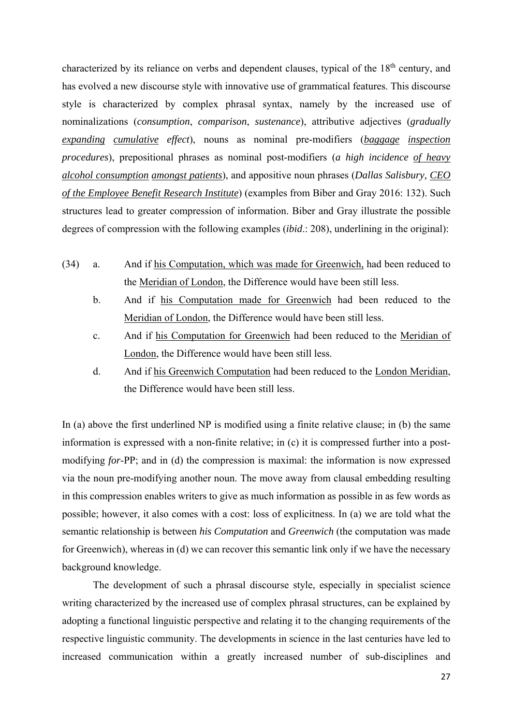characterized by its reliance on verbs and dependent clauses, typical of the 18<sup>th</sup> century, and has evolved a new discourse style with innovative use of grammatical features. This discourse style is characterized by complex phrasal syntax, namely by the increased use of nominalizations (*consumption*, *comparison*, *sustenance*), attributive adjectives (*gradually expanding cumulative effect*), nouns as nominal pre-modifiers (*baggage inspection procedures*), prepositional phrases as nominal post-modifiers (*a high incidence of heavy alcohol consumption amongst patients*), and appositive noun phrases (*Dallas Salisbury, CEO of the Employee Benefit Research Institute*) (examples from Biber and Gray 2016: 132). Such structures lead to greater compression of information. Biber and Gray illustrate the possible degrees of compression with the following examples (*ibid*.: 208), underlining in the original):

- (34) a. And if his Computation, which was made for Greenwich, had been reduced to the Meridian of London, the Difference would have been still less.
	- b. And if his Computation made for Greenwich had been reduced to the Meridian of London, the Difference would have been still less.
	- c. And if his Computation for Greenwich had been reduced to the Meridian of London, the Difference would have been still less.
	- d. And if his Greenwich Computation had been reduced to the London Meridian, the Difference would have been still less.

In (a) above the first underlined NP is modified using a finite relative clause; in (b) the same information is expressed with a non-finite relative; in (c) it is compressed further into a postmodifying *for*-PP; and in (d) the compression is maximal: the information is now expressed via the noun pre-modifying another noun. The move away from clausal embedding resulting in this compression enables writers to give as much information as possible in as few words as possible; however, it also comes with a cost: loss of explicitness. In (a) we are told what the semantic relationship is between *his Computation* and *Greenwich* (the computation was made for Greenwich), whereas in (d) we can recover this semantic link only if we have the necessary background knowledge.

The development of such a phrasal discourse style, especially in specialist science writing characterized by the increased use of complex phrasal structures, can be explained by adopting a functional linguistic perspective and relating it to the changing requirements of the respective linguistic community. The developments in science in the last centuries have led to increased communication within a greatly increased number of sub-disciplines and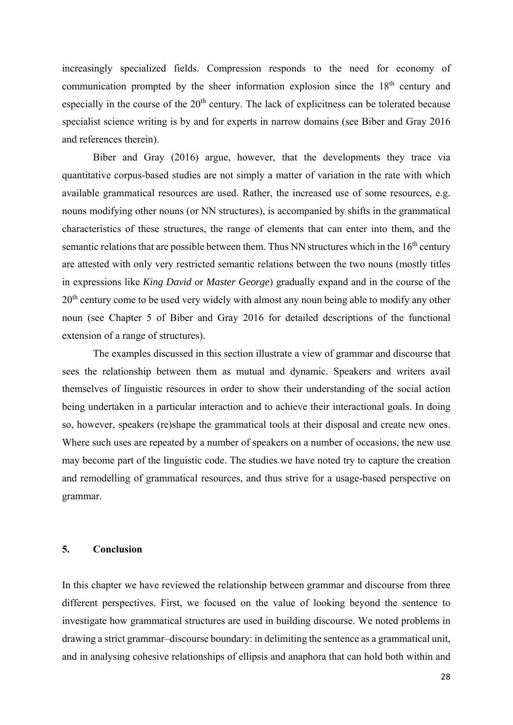increasingly specialized fields. Compression responds to the need for economy of communication prompted by the sheer information explosion since the  $18<sup>th</sup>$  century and especially in the course of the  $20<sup>th</sup>$  century. The lack of explicitness can be tolerated because specialist science writing is by and for experts in narrow domains (see Biber and Gray 2016 and references therein).

Biber and Gray (2016) argue, however, that the developments they trace via quantitative corpus-based studies are not simply a matter of variation in the rate with which available grammatical resources are used. Rather, the increased use of some resources, e.g. nouns modifying other nouns (or NN structures), is accompanied by shifts in the grammatical characteristics of these structures, the range of elements that can enter into them, and the semantic relations that are possible between them. Thus NN structures which in the  $16<sup>th</sup>$  century are attested with only very restricted semantic relations between the two nouns (mostly titles in expressions like *King David* or *Master George*) gradually expand and in the course of the 20<sup>th</sup> century come to be used very widely with almost any noun being able to modify any other noun (see Chapter 5 of Biber and Gray 2016 for detailed descriptions of the functional extension of a range of structures).

The examples discussed in this section illustrate a view of grammar and discourse that sees the relationship between them as mutual and dynamic. Speakers and writers avail themselves of linguistic resources in order to show their understanding of the social action being undertaken in a particular interaction and to achieve their interactional goals. In doing so, however, speakers (re)shape the grammatical tools at their disposal and create new ones. Where such uses are repeated by a number of speakers on a number of occasions, the new use may become part of the linguistic code. The studies we have noted try to capture the creation and remodelling of grammatical resources, and thus strive for a usage-based perspective on grammar.

#### **5. Conclusion**

In this chapter we have reviewed the relationship between grammar and discourse from three different perspectives. First, we focused on the value of looking beyond the sentence to investigate how grammatical structures are used in building discourse. We noted problems in drawing a strict grammar–discourse boundary: in delimiting the sentence as a grammatical unit, and in analysing cohesive relationships of ellipsis and anaphora that can hold both within and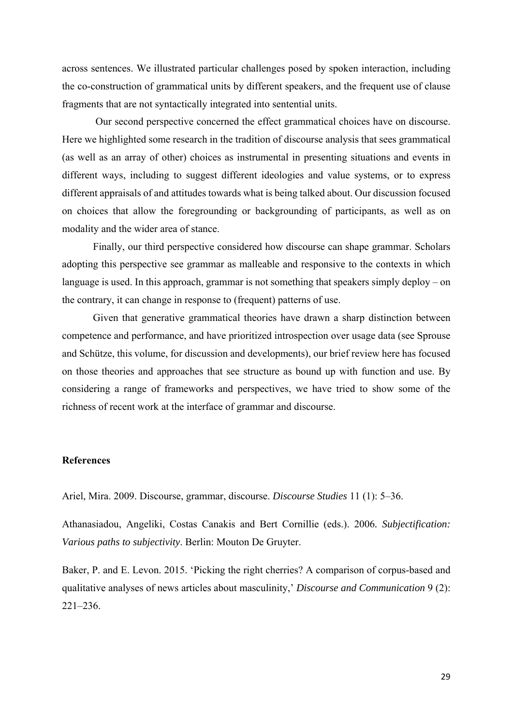across sentences. We illustrated particular challenges posed by spoken interaction, including the co-construction of grammatical units by different speakers, and the frequent use of clause fragments that are not syntactically integrated into sentential units.

 Our second perspective concerned the effect grammatical choices have on discourse. Here we highlighted some research in the tradition of discourse analysis that sees grammatical (as well as an array of other) choices as instrumental in presenting situations and events in different ways, including to suggest different ideologies and value systems, or to express different appraisals of and attitudes towards what is being talked about. Our discussion focused on choices that allow the foregrounding or backgrounding of participants, as well as on modality and the wider area of stance.

Finally, our third perspective considered how discourse can shape grammar. Scholars adopting this perspective see grammar as malleable and responsive to the contexts in which language is used. In this approach, grammar is not something that speakers simply deploy – on the contrary, it can change in response to (frequent) patterns of use.

Given that generative grammatical theories have drawn a sharp distinction between competence and performance, and have prioritized introspection over usage data (see Sprouse and Schütze, this volume, for discussion and developments), our brief review here has focused on those theories and approaches that see structure as bound up with function and use. By considering a range of frameworks and perspectives, we have tried to show some of the richness of recent work at the interface of grammar and discourse.

## **References**

Ariel, Mira. 2009. Discourse, grammar, discourse. *Discourse Studies* 11 (1): 5–36.

Athanasiadou, Angeliki, Costas Canakis and Bert Cornillie (eds.). 2006*. Subjectification: Various paths to subjectivity*. Berlin: Mouton De Gruyter.

Baker, P. and E. Levon. 2015. 'Picking the right cherries? A comparison of corpus-based and qualitative analyses of news articles about masculinity,' *Discourse and Communication* 9 (2): 221–236.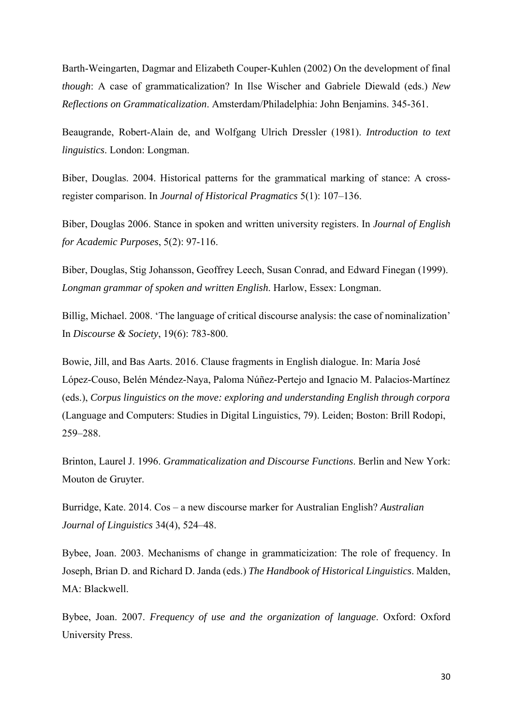Barth-Weingarten, Dagmar and Elizabeth Couper-Kuhlen (2002) On the development of final *though*: A case of grammaticalization? In Ilse Wischer and Gabriele Diewald (eds.) *New Reflections on Grammaticalization*. Amsterdam/Philadelphia: John Benjamins. 345-361.

Beaugrande, Robert-Alain de, and Wolfgang Ulrich Dressler (1981). *Introduction to text linguistics*. London: Longman.

Biber, Douglas. 2004. Historical patterns for the grammatical marking of stance: A crossregister comparison. In *Journal of Historical Pragmatics* 5(1): 107–136.

Biber, Douglas 2006. Stance in spoken and written university registers. In *Journal of English for Academic Purposes*, 5(2): 97-116.

Biber, Douglas, Stig Johansson, Geoffrey Leech, Susan Conrad, and Edward Finegan (1999). *Longman grammar of spoken and written English*. Harlow, Essex: Longman.

Billig, Michael. 2008. 'The language of critical discourse analysis: the case of nominalization' In *Discourse & Society*, 19(6): 783-800.

Bowie, Jill, and Bas Aarts. 2016. Clause fragments in English dialogue. In: María José López-Couso, Belén Méndez-Naya, Paloma Núñez-Pertejo and Ignacio M. Palacios-Martínez (eds.), *Corpus linguistics on the move: exploring and understanding English through corpora*  (Language and Computers: Studies in Digital Linguistics, 79). Leiden; Boston: Brill Rodopi, 259–288.

Brinton, Laurel J. 1996. *Grammaticalization and Discourse Functions*. Berlin and New York: Mouton de Gruyter.

Burridge, Kate. 2014. Cos – a new discourse marker for Australian English? *Australian Journal of Linguistics* 34(4), 524–48.

Bybee, Joan. 2003. Mechanisms of change in grammaticization: The role of frequency. In Joseph, Brian D. and Richard D. Janda (eds.) *The Handbook of Historical Linguistics*. Malden, MA: Blackwell.

Bybee, Joan. 2007. *Frequency of use and the organization of language*. Oxford: Oxford University Press.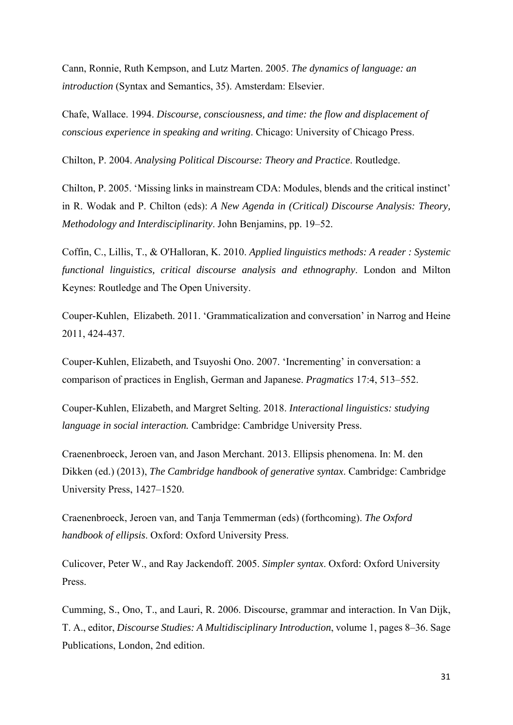Cann, Ronnie, Ruth Kempson, and Lutz Marten. 2005. *The dynamics of language: an introduction* (Syntax and Semantics, 35). Amsterdam: Elsevier.

Chafe, Wallace. 1994. *Discourse, consciousness, and time: the flow and displacement of conscious experience in speaking and writing*. Chicago: University of Chicago Press.

Chilton, P. 2004. *Analysing Political Discourse: Theory and Practice*. Routledge.

Chilton, P. 2005. 'Missing links in mainstream CDA: Modules, blends and the critical instinct' in R. Wodak and P. Chilton (eds): *A New Agenda in (Critical) Discourse Analysis: Theory, Methodology and Interdisciplinarity*. John Benjamins, pp. 19–52.

Coffin, C., Lillis, T., & O'Halloran, K. 2010. *Applied linguistics methods: A reader : Systemic functional linguistics, critical discourse analysis and ethnography*. London and Milton Keynes: Routledge and The Open University.

Couper-Kuhlen, Elizabeth. 2011. 'Grammaticalization and conversation' in Narrog and Heine 2011, 424-437.

Couper-Kuhlen, Elizabeth, and Tsuyoshi Ono. 2007. 'Incrementing' in conversation: a comparison of practices in English, German and Japanese. *Pragmatics* 17:4, 513–552.

Couper-Kuhlen, Elizabeth, and Margret Selting. 2018. *Interactional linguistics: studying language in social interaction.* Cambridge: Cambridge University Press.

Craenenbroeck, Jeroen van, and Jason Merchant. 2013. Ellipsis phenomena. In: M. den Dikken (ed.) (2013), *The Cambridge handbook of generative syntax*. Cambridge: Cambridge University Press, 1427–1520.

Craenenbroeck, Jeroen van, and Tanja Temmerman (eds) (forthcoming). *The Oxford handbook of ellipsis*. Oxford: Oxford University Press.

Culicover, Peter W., and Ray Jackendoff. 2005. *Simpler syntax*. Oxford: Oxford University Press.

Cumming, S., Ono, T., and Lauri, R. 2006. Discourse, grammar and interaction. In Van Dijk, T. A., editor, *Discourse Studies: A Multidisciplinary Introduction*, volume 1, pages 8–36. Sage Publications, London, 2nd edition.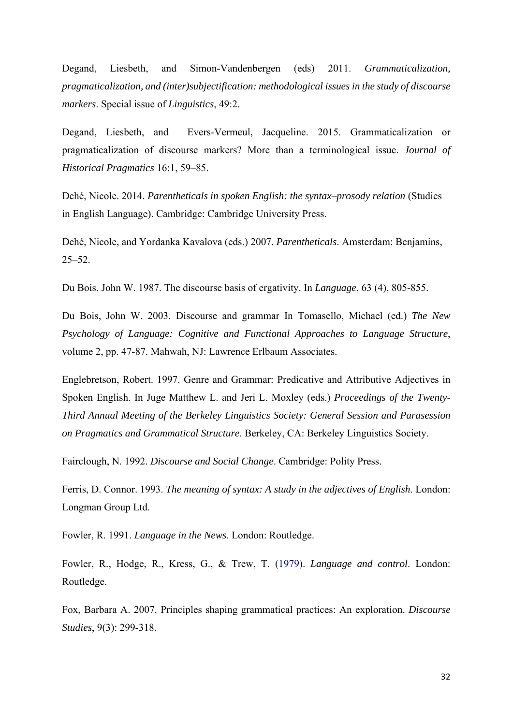Degand, Liesbeth, and Simon-Vandenbergen (eds) 2011. *Grammaticalization, pragmaticalization, and (inter)subjectification: methodological issues in the study of discourse markers*. Special issue of *Linguistics*, 49:2.

Degand, Liesbeth, and Evers-Vermeul, Jacqueline. 2015. Grammaticalization or pragmaticalization of discourse markers? More than a terminological issue. *Journal of Historical Pragmatics* 16:1, 59–85.

Dehé, Nicole. 2014. *Parentheticals in spoken English: the syntax–prosody relation* (Studies in English Language). Cambridge: Cambridge University Press.

Dehé, Nicole, and Yordanka Kavalova (eds.) 2007. *Parentheticals*. Amsterdam: Benjamins,  $25 - 52$ .

Du Bois, John W. 1987. The discourse basis of ergativity. In *Language*, 63 (4), 805-855.

Du Bois, John W. 2003. Discourse and grammar In Tomasello, Michael (ed.) *The New Psychology of Language: Cognitive and Functional Approaches to Language Structure*, volume 2, pp. 47-87. Mahwah, NJ: Lawrence Erlbaum Associates.

Englebretson, Robert. 1997. Genre and Grammar: Predicative and Attributive Adjectives in Spoken English. In Juge Matthew L. and Jeri L. Moxley (eds.) *Proceedings of the Twenty-Third Annual Meeting of the Berkeley Linguistics Society: General Session and Parasession on Pragmatics and Grammatical Structure*. Berkeley, CA: Berkeley Linguistics Society.

Fairclough, N. 1992. *Discourse and Social Change*. Cambridge: Polity Press.

Ferris, D. Connor. 1993. *The meaning of syntax: A study in the adjectives of English*. London: Longman Group Ltd.

Fowler, R. 1991. *Language in the News*. London: Routledge.

Fowler, R., Hodge, R., Kress, G., & Trew, T. (1979). *Language and control*. London: Routledge.

Fox, Barbara A. 2007. Principles shaping grammatical practices: An exploration. *Discourse Studies*, 9(3): 299-318.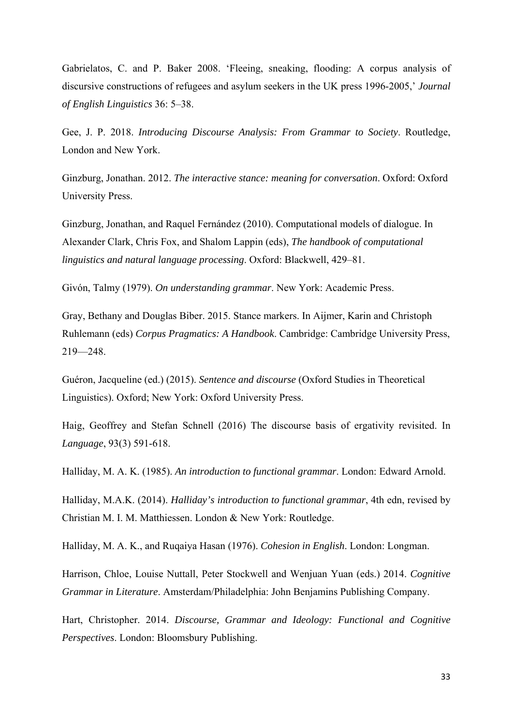Gabrielatos, C. and P. Baker 2008. 'Fleeing, sneaking, flooding: A corpus analysis of discursive constructions of refugees and asylum seekers in the UK press 1996-2005,' *Journal of English Linguistics* 36: 5–38.

Gee, J. P. 2018. *Introducing Discourse Analysis: From Grammar to Society*. Routledge, London and New York.

Ginzburg, Jonathan. 2012. *The interactive stance: meaning for conversation*. Oxford: Oxford University Press.

Ginzburg, Jonathan, and Raquel Fernández (2010). Computational models of dialogue. In Alexander Clark, Chris Fox, and Shalom Lappin (eds), *The handbook of computational linguistics and natural language processing*. Oxford: Blackwell, 429–81.

Givón, Talmy (1979). *On understanding grammar*. New York: Academic Press.

Gray, Bethany and Douglas Biber. 2015. Stance markers. In Aijmer, Karin and Christoph Ruhlemann (eds) *Corpus Pragmatics: A Handbook*. Cambridge: Cambridge University Press, 219—248.

Guéron, Jacqueline (ed.) (2015). *Sentence and discourse* (Oxford Studies in Theoretical Linguistics). Oxford; New York: Oxford University Press.

Haig, Geoffrey and Stefan Schnell (2016) The discourse basis of ergativity revisited. In *Language*, 93(3) 591-618.

Halliday, M. A. K. (1985). *An introduction to functional grammar*. London: Edward Arnold.

Halliday, M.A.K. (2014). *Halliday's introduction to functional grammar*, 4th edn, revised by Christian M. I. M. Matthiessen. London & New York: Routledge.

Halliday, M. A. K., and Ruqaiya Hasan (1976). *Cohesion in English*. London: Longman.

Harrison, Chloe, Louise Nuttall, Peter Stockwell and Wenjuan Yuan (eds.) 2014. *Cognitive Grammar in Literature*. Amsterdam/Philadelphia: John Benjamins Publishing Company.

Hart, Christopher. 2014. *Discourse, Grammar and Ideology: Functional and Cognitive Perspectives*. London: Bloomsbury Publishing.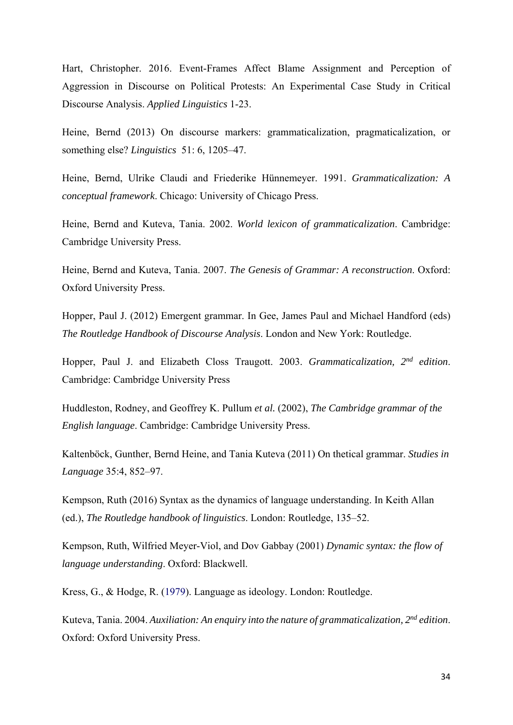Hart, Christopher. 2016. Event-Frames Affect Blame Assignment and Perception of Aggression in Discourse on Political Protests: An Experimental Case Study in Critical Discourse Analysis. *Applied Linguistics* 1-23.

Heine, Bernd (2013) On discourse markers: grammaticalization, pragmaticalization, or something else? *Linguistics* 51: 6, 1205–47.

Heine, Bernd, Ulrike Claudi and Friederike Hünnemeyer. 1991. *Grammaticalization: A conceptual framework*. Chicago: University of Chicago Press.

Heine, Bernd and Kuteva, Tania. 2002. *World lexicon of grammaticalization*. Cambridge: Cambridge University Press.

Heine, Bernd and Kuteva, Tania. 2007. *The Genesis of Grammar: A reconstruction*. Oxford: Oxford University Press.

Hopper, Paul J. (2012) Emergent grammar. In Gee, James Paul and Michael Handford (eds) *The Routledge Handbook of Discourse Analysis*. London and New York: Routledge.

Hopper, Paul J. and Elizabeth Closs Traugott. 2003. *Grammaticalization, 2nd edition*. Cambridge: Cambridge University Press

Huddleston, Rodney, and Geoffrey K. Pullum *et al.* (2002), *The Cambridge grammar of the English language*. Cambridge: Cambridge University Press.

Kaltenböck, Gunther, Bernd Heine, and Tania Kuteva (2011) On thetical grammar. *Studies in Language* 35:4, 852–97.

Kempson, Ruth (2016) Syntax as the dynamics of language understanding. In Keith Allan (ed.), *The Routledge handbook of linguistics*. London: Routledge, 135–52.

Kempson, Ruth, Wilfried Meyer-Viol, and Dov Gabbay (2001) *Dynamic syntax: the flow of language understanding*. Oxford: Blackwell.

Kress, G., & Hodge, R. (1979). Language as ideology. London: Routledge.

Kuteva, Tania. 2004. *Auxiliation: An enquiry into the nature of grammaticalization, 2nd edition*. Oxford: Oxford University Press.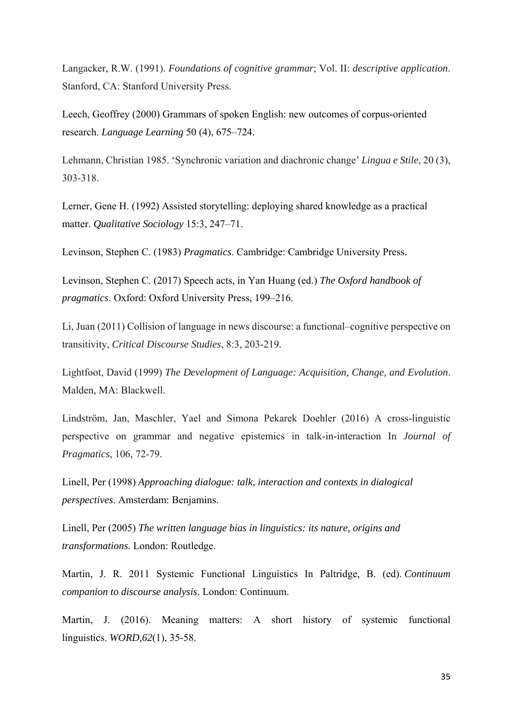Langacker, R.W. (1991). *Foundations of cognitive grammar*; Vol. II: *descriptive application*. Stanford, CA: Stanford University Press.

Leech, Geoffrey (2000) Grammars of spoken English: new outcomes of corpus-oriented research. *Language Learning* 50 (4), 675–724.

Lehmann, Christian 1985. 'Synchronic variation and diachronic change' *Lingua e Stile*, 20 (3), 303-318.

Lerner, Gene H. (1992) Assisted storytelling: deploying shared knowledge as a practical matter. *Qualitative Sociology* 15:3, 247–71.

Levinson, Stephen C. (1983) *Pragmatics*. Cambridge: Cambridge University Press.

Levinson, Stephen C. (2017) Speech acts, in Yan Huang (ed.) *The Oxford handbook of pragmatics*. Oxford: Oxford University Press, 199–216.

Li, Juan (2011) Collision of language in news discourse: a functional–cognitive perspective on transitivity, *Critical Discourse Studies*, 8:3, 203-219.

Lightfoot, David (1999) *The Development of Language: Acquisition, Change, and Evolution*. Malden, MA: Blackwell.

Lindström, Jan, Maschler, Yael and Simona Pekarek Doehler (2016) A cross-linguistic perspective on grammar and negative epistemics in talk-in-interaction In *Journal of Pragmatics*, 106, 72-79.

Linell, Per (1998) *Approaching dialogue: talk, interaction and contexts in dialogical perspectives*. Amsterdam: Benjamins.

Linell, Per (2005) *The written language bias in linguistics: its nature, origins and transformations*. London: Routledge.

Martin, J. R. 2011 Systemic Functional Linguistics In Paltridge, B. (ed). *Continuum companion to discourse analysis*. London: Continuum.

Martin, J. (2016). Meaning matters: A short history of systemic functional linguistics. *WORD,62*(1), 35-58.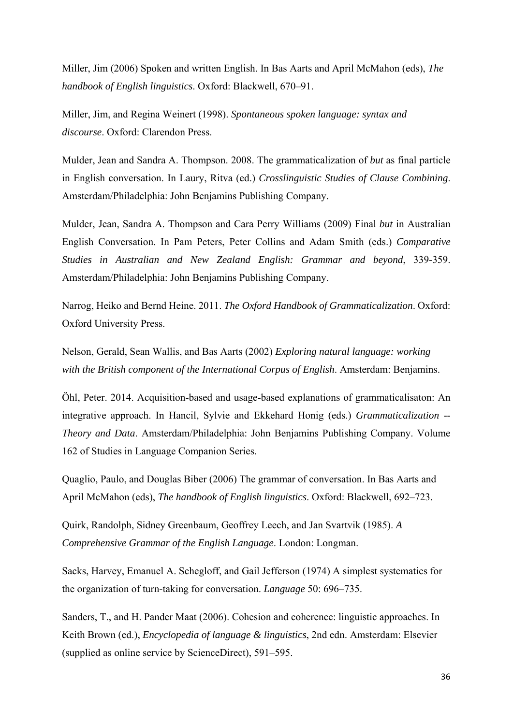Miller, Jim (2006) Spoken and written English. In Bas Aarts and April McMahon (eds), *The handbook of English linguistics*. Oxford: Blackwell, 670–91.

Miller, Jim, and Regina Weinert (1998). *Spontaneous spoken language: syntax and discourse*. Oxford: Clarendon Press.

Mulder, Jean and Sandra A. Thompson. 2008. The grammaticalization of *but* as final particle in English conversation. In Laury, Ritva (ed.) *Crosslinguistic Studies of Clause Combining*. Amsterdam/Philadelphia: John Benjamins Publishing Company.

Mulder, Jean, Sandra A. Thompson and Cara Perry Williams (2009) Final *but* in Australian English Conversation. In Pam Peters, Peter Collins and Adam Smith (eds.) *Comparative Studies in Australian and New Zealand English: Grammar and beyond*, 339-359. Amsterdam/Philadelphia: John Benjamins Publishing Company.

Narrog, Heiko and Bernd Heine. 2011. *The Oxford Handbook of Grammaticalization*. Oxford: Oxford University Press.

Nelson, Gerald, Sean Wallis, and Bas Aarts (2002) *Exploring natural language: working with the British component of the International Corpus of English*. Amsterdam: Benjamins.

Öhl, Peter. 2014. Acquisition-based and usage-based explanations of grammaticalisaton: An integrative approach. In Hancil, Sylvie and Ekkehard Honig (eds.) *Grammaticalization -- Theory and Data*. Amsterdam/Philadelphia: John Benjamins Publishing Company. Volume 162 of Studies in Language Companion Series.

Quaglio, Paulo, and Douglas Biber (2006) The grammar of conversation. In Bas Aarts and April McMahon (eds), *The handbook of English linguistics*. Oxford: Blackwell, 692–723.

Quirk, Randolph, Sidney Greenbaum, Geoffrey Leech, and Jan Svartvik (1985). *A Comprehensive Grammar of the English Language*. London: Longman.

Sacks, Harvey, Emanuel A. Schegloff, and Gail Jefferson (1974) A simplest systematics for the organization of turn-taking for conversation. *Language* 50: 696–735.

Sanders, T., and H. Pander Maat (2006). Cohesion and coherence: linguistic approaches. In Keith Brown (ed.), *Encyclopedia of language & linguistics*, 2nd edn. Amsterdam: Elsevier (supplied as online service by ScienceDirect), 591–595.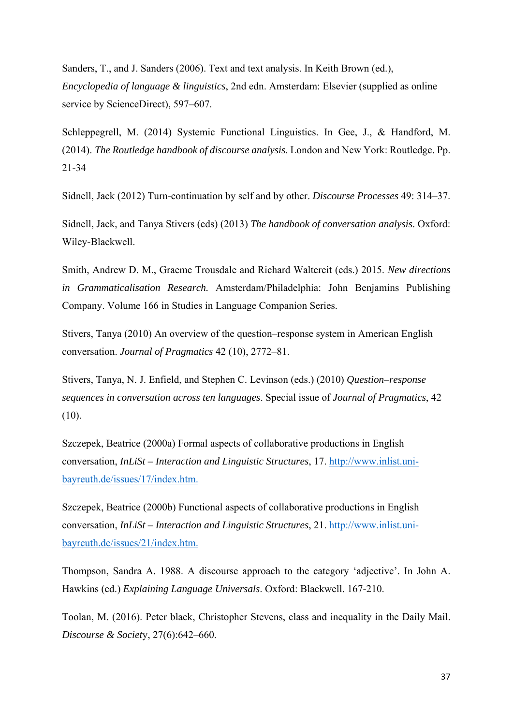Sanders, T., and J. Sanders (2006). Text and text analysis. In Keith Brown (ed.), *Encyclopedia of language & linguistics*, 2nd edn. Amsterdam: Elsevier (supplied as online service by ScienceDirect), 597-607.

Schleppegrell, M. (2014) Systemic Functional Linguistics. In Gee, J., & Handford, M. (2014). *The Routledge handbook of discourse analysis*. London and New York: Routledge. Pp. 21-34

Sidnell, Jack (2012) Turn-continuation by self and by other. *Discourse Processes* 49: 314–37.

Sidnell, Jack, and Tanya Stivers (eds) (2013) *The handbook of conversation analysis*. Oxford: Wiley-Blackwell.

Smith, Andrew D. M., Graeme Trousdale and Richard Waltereit (eds.) 2015. *New directions in Grammaticalisation Research.* Amsterdam/Philadelphia: John Benjamins Publishing Company. Volume 166 in Studies in Language Companion Series.

Stivers, Tanya (2010) An overview of the question–response system in American English conversation. *Journal of Pragmatics* 42 (10), 2772–81.

Stivers, Tanya, N. J. Enfield, and Stephen C. Levinson (eds.) (2010) *Question–response sequences in conversation across ten languages*. Special issue of *Journal of Pragmatics*, 42 (10).

Szczepek, Beatrice (2000a) Formal aspects of collaborative productions in English conversation, *InLiSt – Interaction and Linguistic Structures*, 17. http://www.inlist.unibayreuth.de/issues/17/index.htm.

Szczepek, Beatrice (2000b) Functional aspects of collaborative productions in English conversation, *InLiSt – Interaction and Linguistic Structures*, 21. http://www.inlist.unibayreuth.de/issues/21/index.htm.

Thompson, Sandra A. 1988. A discourse approach to the category 'adjective'. In John A. Hawkins (ed.) *Explaining Language Universals*. Oxford: Blackwell. 167-210.

Toolan, M. (2016). Peter black, Christopher Stevens, class and inequality in the Daily Mail. *Discourse & Societ*y, 27(6):642–660.